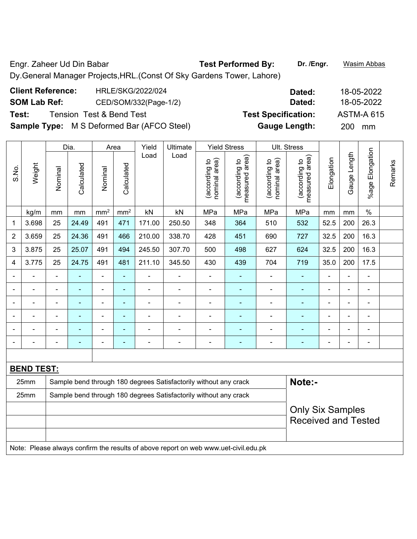Engr. Zaheer Ud Din Babar **Test Performed By: Dr. /Engr.** Wasim Abbas Dy.General Manager Projects,HRL.(Const Of Sky Gardens Tower, Lahore)

| <b>Client Reference:</b> | <b>HRLE/SKG/2022/024</b>                          | Dated:                     | 18-05-2022        |
|--------------------------|---------------------------------------------------|----------------------------|-------------------|
| <b>SOM Lab Ref:</b>      | CED/SOM/332(Page-1/2)                             | Dated:                     | 18-05-2022        |
| Test:                    | Tension Test & Bend Test                          | <b>Test Specification:</b> | <b>ASTM-A 615</b> |
|                          | <b>Sample Type:</b> M S Deformed Bar (AFCO Steel) | <b>Gauge Length:</b>       | 200 mm            |

|                |                   |                | Dia.           |                          | Area            | Yield          | Ultimate                                                                            |                                | <b>Yield Stress</b>             |                                | Ult. Stress                                           |                |                |                 |         |
|----------------|-------------------|----------------|----------------|--------------------------|-----------------|----------------|-------------------------------------------------------------------------------------|--------------------------------|---------------------------------|--------------------------------|-------------------------------------------------------|----------------|----------------|-----------------|---------|
| S.No.          | Weight            | Nominal        | Calculated     | Nominal                  | Calculated      | Load           | Load                                                                                | nominal area)<br>(according to | measured area)<br>(according to | nominal area)<br>(according to | measured area)<br>(according to                       | Elongation     | Gauge Length   | %age Elongation | Remarks |
|                | kg/m              | mm             | mm             | mm <sup>2</sup>          | mm <sup>2</sup> | kN             | kN                                                                                  | MPa                            | MPa                             | MPa                            | MPa                                                   | mm             | mm             | $\frac{0}{0}$   |         |
| 1              | 3.698             | 25             | 24.49          | 491                      | 471             | 171.00         | 250.50                                                                              | 348                            | 364                             | 510                            | 532                                                   | 52.5           | 200            | 26.3            |         |
| $\overline{2}$ | 3.659             | 25             | 24.36          | 491                      | 466             | 210.00         | 338.70                                                                              | 428                            | 451                             | 690                            | 727                                                   | 32.5           | 200            | 16.3            |         |
| 3              | 3.875             | 25             | 25.07          | 491                      | 494             | 245.50         | 307.70                                                                              | 500                            | 498                             | 627                            | 624                                                   | 32.5           | 200            | 16.3            |         |
| $\overline{4}$ | 3.775             | 25             | 24.75          | 491                      | 481             | 211.10         | 345.50                                                                              | 430                            | 439                             | 704                            | 719                                                   | 35.0           | 200            | 17.5            |         |
|                |                   |                |                |                          | ä,              |                |                                                                                     | ÷                              |                                 | $\blacksquare$                 |                                                       | $\blacksquare$ |                |                 |         |
| $\blacksquare$ | $\blacksquare$    | $\blacksquare$ | $\blacksquare$ | ÷                        | $\blacksquare$  | $\blacksquare$ | $\blacksquare$                                                                      | $\blacksquare$                 | ۰                               | ۰                              | $\blacksquare$                                        | $\blacksquare$ | $\blacksquare$ | $\blacksquare$  |         |
|                |                   | $\overline{a}$ | $\blacksquare$ | ÷                        | $\blacksquare$  | $\blacksquare$ | $\overline{\phantom{a}}$                                                            | $\blacksquare$                 | ۰                               | ۰                              | $\blacksquare$                                        | $\blacksquare$ | $\blacksquare$ | $\blacksquare$  |         |
|                | $\blacksquare$    | $\blacksquare$ | $\blacksquare$ | $\overline{\phantom{0}}$ | $\blacksquare$  | $\blacksquare$ |                                                                                     | $\overline{a}$                 | ÷                               | -                              | $\blacksquare$                                        | $\blacksquare$ | $\blacksquare$ | $\blacksquare$  |         |
|                |                   |                | ÷,             | ÷                        | $\blacksquare$  |                |                                                                                     | Ē,                             | ÷                               | ÷                              | $\blacksquare$                                        |                |                | $\blacksquare$  |         |
|                |                   |                |                |                          | $\blacksquare$  |                |                                                                                     |                                | ÷                               |                                |                                                       | $\blacksquare$ | $\blacksquare$ | $\blacksquare$  |         |
|                |                   |                |                |                          |                 |                |                                                                                     |                                |                                 |                                |                                                       |                |                |                 |         |
|                | <b>BEND TEST:</b> |                |                |                          |                 |                |                                                                                     |                                |                                 |                                |                                                       |                |                |                 |         |
|                | 25mm              |                |                |                          |                 |                | Sample bend through 180 degrees Satisfactorily without any crack                    |                                |                                 |                                | Note:-                                                |                |                |                 |         |
|                | 25mm              |                |                |                          |                 |                | Sample bend through 180 degrees Satisfactorily without any crack                    |                                |                                 |                                |                                                       |                |                |                 |         |
|                |                   |                |                |                          |                 |                |                                                                                     |                                |                                 |                                | <b>Only Six Samples</b><br><b>Received and Tested</b> |                |                |                 |         |
|                |                   |                |                |                          |                 |                | Note: Please always confirm the results of above report on web www.uet-civil.edu.pk |                                |                                 |                                |                                                       |                |                |                 |         |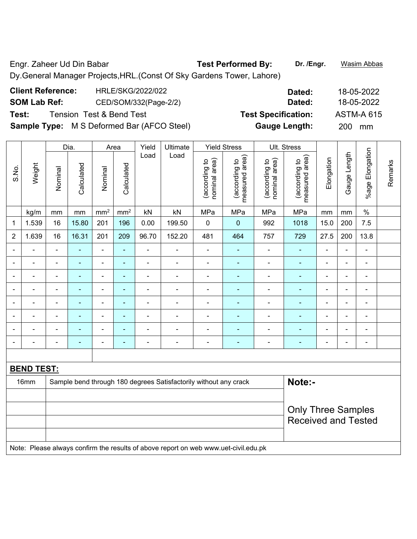Engr. Zaheer Ud Din Babar **Test Performed By: Dr. /Engr.** Wasim Abbas Dy.General Manager Projects,HRL.(Const Of Sky Gardens Tower, Lahore)

| <b>Client Reference:</b> | HRLE/SKG/2022/022                                 | Dated:                     | 18-05-2022        |
|--------------------------|---------------------------------------------------|----------------------------|-------------------|
| <b>SOM Lab Ref:</b>      | CED/SOM/332(Page-2/2)                             | Dated:                     | 18-05-2022        |
| Test:                    | Tension Test & Bend Test                          | <b>Test Specification:</b> | <b>ASTM-A 615</b> |
|                          | <b>Sample Type:</b> M S Deformed Bar (AFCO Steel) | <b>Gauge Length:</b>       | 200 mm            |

|                |                |                   | Dia.           |                 | Area                     | Yield          | Ultimate                                                         |                                | <b>Yield Stress</b>             |                                | Ult. Stress                     |                |                |                              |         |
|----------------|----------------|-------------------|----------------|-----------------|--------------------------|----------------|------------------------------------------------------------------|--------------------------------|---------------------------------|--------------------------------|---------------------------------|----------------|----------------|------------------------------|---------|
| S.No.          | Weight         | Nominal           | Calculated     | Nominal         | Calculated               | Load           | Load                                                             | nominal area)<br>(according to | (according to<br>measured area) | (according to<br>nominal area) | measured area)<br>(according to | Elongation     | Gauge Length   | %age Elongation              | Remarks |
|                | kg/m           | mm                | mm             | mm <sup>2</sup> | mm <sup>2</sup>          | kN             | kN                                                               | MPa                            | MPa                             | MPa                            | MPa                             | mm             | mm             | $\%$                         |         |
| 1              | 1.539          | 16                | 15.80          | 201             | 196                      | 0.00           | 199.50                                                           | $\pmb{0}$                      | $\pmb{0}$                       | 992                            | 1018                            | 15.0           | 200            | 7.5                          |         |
| $\overline{2}$ | 1.639          | 16                | 16.31          | 201             | 209                      | 96.70          | 152.20                                                           | 481                            | 464                             | 757                            | 729                             | 27.5           | 200            | 13.8                         |         |
|                |                |                   | $\blacksquare$ | ÷,              | ÷                        | $\blacksquare$ | $\blacksquare$                                                   | $\blacksquare$                 | $\blacksquare$                  | $\overline{a}$                 | ÷,                              |                | ä,             | $\blacksquare$               |         |
|                | $\blacksquare$ |                   | $\blacksquare$ | ÷,              | ۰                        | $\blacksquare$ | $\blacksquare$                                                   | $\blacksquare$                 |                                 |                                | ÷                               |                | $\blacksquare$ | $\blacksquare$               |         |
| ۰              | $\blacksquare$ | $\blacksquare$    | $\blacksquare$ | ÷,              | ٠                        | $\blacksquare$ | $\blacksquare$                                                   | $\blacksquare$                 | $\blacksquare$                  | $\overline{\phantom{a}}$       | ۰                               | $\blacksquare$ | $\blacksquare$ | $\qquad \qquad \blacksquare$ |         |
|                | $\blacksquare$ | $\blacksquare$    | $\blacksquare$ | ÷               | $\blacksquare$           | $\blacksquare$ | $\overline{\phantom{a}}$                                         | $\overline{\phantom{a}}$       | $\overline{\phantom{0}}$        | $\blacksquare$                 | $\blacksquare$                  | $\blacksquare$ | $\blacksquare$ | $\blacksquare$               |         |
|                |                |                   |                |                 | ÷                        |                |                                                                  |                                |                                 |                                |                                 |                | $\blacksquare$ | $\blacksquare$               |         |
|                | $\overline{a}$ | $\blacksquare$    |                | ÷               | $\overline{\phantom{0}}$ | $\blacksquare$ | $\overline{a}$                                                   | ٠                              |                                 | $\overline{\phantom{0}}$       | $\overline{\phantom{0}}$        |                | $\blacksquare$ | ۰                            |         |
|                | $\blacksquare$ | $\blacksquare$    | $\blacksquare$ | ۰               | $\blacksquare$           | $\blacksquare$ | $\blacksquare$                                                   | $\overline{\phantom{0}}$       | $\blacksquare$                  | $\overline{\phantom{0}}$       | $\blacksquare$                  | $\blacksquare$ | $\blacksquare$ | $\overline{\phantom{a}}$     |         |
|                | $\blacksquare$ | $\blacksquare$    | $\blacksquare$ | ÷               | ۰                        | $\blacksquare$ | $\blacksquare$                                                   | $\overline{\phantom{a}}$       | $\blacksquare$                  | $\overline{\phantom{a}}$       | $\blacksquare$                  | $\blacksquare$ | $\blacksquare$ | ÷,                           |         |
|                |                |                   |                |                 |                          |                |                                                                  |                                |                                 |                                |                                 |                |                |                              |         |
|                |                | <b>BEND TEST:</b> |                |                 |                          |                |                                                                  |                                |                                 |                                |                                 |                |                |                              |         |
|                | 16mm           |                   |                |                 |                          |                | Sample bend through 180 degrees Satisfactorily without any crack |                                |                                 |                                | Note:-                          |                |                |                              |         |
|                |                |                   |                |                 |                          |                |                                                                  |                                |                                 |                                |                                 |                |                |                              |         |
|                |                |                   |                |                 |                          |                |                                                                  |                                |                                 |                                | <b>Only Three Samples</b>       |                |                |                              |         |
|                |                |                   |                |                 |                          |                |                                                                  |                                |                                 |                                | <b>Received and Tested</b>      |                |                |                              |         |
|                |                |                   |                |                 |                          |                |                                                                  |                                |                                 |                                |                                 |                |                |                              |         |
|                |                |                   |                |                 |                          |                |                                                                  |                                |                                 |                                |                                 |                |                |                              |         |

Note: Please always confirm the results of above report on web www.uet-civil.edu.pk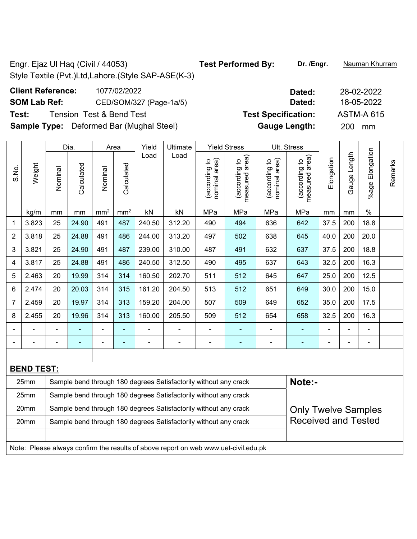Engr. Ejaz Ul Haq (Civil / 44053) **Test Performed By: Dr. /Engr.** Nauman Khurram Style Textile (Pvt.)Ltd,Lahore.(Style SAP-ASE(K-3) **Client Reference:** 1077/02/2022 **Dated:** 28-02-2022

## **SOM Lab Ref:** CED/SOM/327 (Page-1a/5) **Dated:** 18-05-2022 **Test:** Tension Test & Bend Test **Test Specification:** ASTM-A 615

**Sample Type:** Deformed Bar (Mughal Steel) **Gauge Length:** 200 mm

|                |                   |                                                                            | Dia.           |                 | Area            | Yield  | Ultimate                                                                            |                                | <b>Yield Stress</b>             |                                | Ult. Stress                     |            |                |                       |         |  |  |  |
|----------------|-------------------|----------------------------------------------------------------------------|----------------|-----------------|-----------------|--------|-------------------------------------------------------------------------------------|--------------------------------|---------------------------------|--------------------------------|---------------------------------|------------|----------------|-----------------------|---------|--|--|--|
| S.No.          | Weight            | Nominal                                                                    | Calculated     | Nominal         | Calculated      | Load   | Load                                                                                | nominal area)<br>(according to | (according to<br>measured area) | nominal area)<br>(according to | measured area)<br>(according to | Elongation | Gauge Length   | Elongation<br>$%$ age | Remarks |  |  |  |
|                | kg/m              | mm                                                                         | mm             | mm <sup>2</sup> | mm <sup>2</sup> | kN     | kN                                                                                  | MPa                            | MPa                             | MPa                            | MPa                             | mm         | mm             | $\%$                  |         |  |  |  |
| 1              | 3.823             | 25                                                                         | 24.90          | 491             | 487             | 240.50 | 312.20                                                                              | 490                            | 494                             | 636                            | 642                             | 37.5       | 200            | 18.8                  |         |  |  |  |
| $\overline{2}$ | 3.818             | 25                                                                         | 24.88          | 491             | 486             | 244.00 | 313.20                                                                              | 497                            | 502                             | 638                            | 645                             | 40.0       | 200            | 20.0                  |         |  |  |  |
| 3              | 3.821             | 25                                                                         | 24.90          | 491             | 487             | 239.00 | 310.00                                                                              | 487                            | 491                             | 632                            | 637                             | 37.5       | 200            | 18.8                  |         |  |  |  |
| 4              | 3.817             | 25                                                                         | 24.88          | 491             | 486             | 240.50 | 312.50                                                                              | 490                            | 495                             | 637                            | 643                             | 32.5       | 200            | 16.3                  |         |  |  |  |
| 5              | 2.463             | 20                                                                         | 19.99          | 314             | 314             | 160.50 | 202.70                                                                              | 511                            | 512                             | 645                            | 647                             | 25.0       | 200            | 12.5                  |         |  |  |  |
| 6              | 2.474             | 20                                                                         | 20.03          | 314             | 315             | 161.20 | 204.50                                                                              | 513                            | 512                             | 651                            | 200<br>15.0<br>649<br>30.0      |            |                |                       |         |  |  |  |
| 7              | 2.459             | 20                                                                         | 19.97          | 314             | 313             | 159.20 | 204.00                                                                              | 507                            | 509                             | 649                            | 652                             | 35.0       | 200            | 17.5                  |         |  |  |  |
| 8              | 2.455             | 20                                                                         | 19.96          | 314             | 313             | 160.00 | 205.50                                                                              | 509                            | 512                             | 654                            | 658                             | 32.5       | 200            | 16.3                  |         |  |  |  |
|                |                   |                                                                            |                |                 |                 |        |                                                                                     |                                |                                 |                                |                                 |            |                |                       |         |  |  |  |
| ۰              | ۰                 | $\overline{a}$                                                             | $\blacksquare$ | ÷,              | ۰               | ÷      | $\overline{\phantom{a}}$                                                            | $\blacksquare$                 | ٠                               | $\blacksquare$                 | ٠                               |            | $\blacksquare$ | $\blacksquare$        |         |  |  |  |
|                |                   |                                                                            |                |                 |                 |        |                                                                                     |                                |                                 |                                |                                 |            |                |                       |         |  |  |  |
|                | <b>BEND TEST:</b> |                                                                            |                |                 |                 |        |                                                                                     |                                |                                 |                                |                                 |            |                |                       |         |  |  |  |
|                | 25mm              | Note:-<br>Sample bend through 180 degrees Satisfactorily without any crack |                |                 |                 |        |                                                                                     |                                |                                 |                                |                                 |            |                |                       |         |  |  |  |
|                | 25mm              |                                                                            |                |                 |                 |        | Sample bend through 180 degrees Satisfactorily without any crack                    |                                |                                 |                                |                                 |            |                |                       |         |  |  |  |
|                | 20mm              |                                                                            |                |                 |                 |        | Sample bend through 180 degrees Satisfactorily without any crack                    |                                |                                 |                                | <b>Only Twelve Samples</b>      |            |                |                       |         |  |  |  |
|                | 20mm              |                                                                            |                |                 |                 |        | Sample bend through 180 degrees Satisfactorily without any crack                    |                                |                                 |                                | <b>Received and Tested</b>      |            |                |                       |         |  |  |  |
|                |                   |                                                                            |                |                 |                 |        |                                                                                     |                                |                                 |                                |                                 |            |                |                       |         |  |  |  |
|                |                   |                                                                            |                |                 |                 |        | Note: Please always confirm the results of above report on web www.uet-civil.edu.pk |                                |                                 |                                |                                 |            |                |                       |         |  |  |  |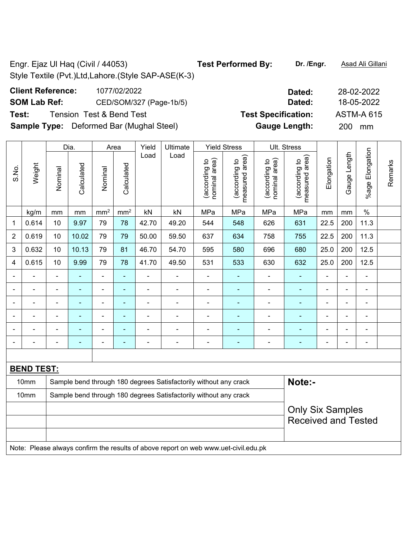## **Client Reference:** 1077/02/2022 **Dated:** 28-02-2022 **SOM Lab Ref:** CED/SOM/327 (Page-1b/5) **Dated:** 18-05-2022 **Test:** Tension Test & Bend Test **Test Specification:** ASTM-A 615

**Sample Type:** Deformed Bar (Mughal Steel) **Gauge Length:** 200 mm

|                          |                   |                                                                            | Dia.           |                              | Area            | Yield          | Ultimate                                                                            |                                | <b>Yield Stress</b>             |                                | Ult. Stress                     |                          |                |                 |         |  |  |
|--------------------------|-------------------|----------------------------------------------------------------------------|----------------|------------------------------|-----------------|----------------|-------------------------------------------------------------------------------------|--------------------------------|---------------------------------|--------------------------------|---------------------------------|--------------------------|----------------|-----------------|---------|--|--|
| S.No.                    | Weight            | Nominal                                                                    | Calculated     | Nominal                      | Calculated      | Load           | Load                                                                                | nominal area)<br>(according to | measured area)<br>(according to | nominal area)<br>(according to | (according to<br>measured area) | Elongation               | Gauge Length   | %age Elongation | Remarks |  |  |
|                          | kg/m              | mm                                                                         | mm             | mm <sup>2</sup>              | mm <sup>2</sup> | kN             | kN                                                                                  | MPa                            | MPa                             | MPa                            | MPa                             | mm                       | mm             | $\%$            |         |  |  |
| 1                        | 0.614             | 10                                                                         | 9.97           | 79                           | 78              | 42.70          | 49.20                                                                               | 544                            | 548                             | 626                            | 631                             | 22.5                     | 200            | 11.3            |         |  |  |
| $\overline{2}$           | 0.619             | 10                                                                         | 10.02          | 79                           | 79              | 50.00          | 59.50                                                                               | 637                            | 634                             | 758                            | 755                             | 22.5                     | 200            | 11.3            |         |  |  |
| 3                        | 0.632             | 10                                                                         | 10.13          | 79                           | 81              | 46.70          | 54.70                                                                               | 595                            | 580                             | 696                            | 680                             | 25.0                     | 200            | 12.5            |         |  |  |
| 4                        | 0.615             | 10                                                                         | 9.99           | 79                           | 78              | 41.70          | 49.50                                                                               | 531                            | 533                             | 630                            | 632                             | 25.0                     | 200            | 12.5            |         |  |  |
|                          | ä,                | $\blacksquare$                                                             | ÷,             | $\frac{1}{2}$                | ÷               | $\blacksquare$ | $\blacksquare$                                                                      | $\blacksquare$                 | $\blacksquare$                  | ÷,                             | ÷,                              | $\blacksquare$           | $\blacksquare$ | ÷,              |         |  |  |
|                          |                   |                                                                            | ٠              | -                            | ÷               | $\blacksquare$ | ٠                                                                                   | ÷                              | $\blacksquare$                  | $\blacksquare$                 | $\blacksquare$                  |                          |                |                 |         |  |  |
|                          |                   |                                                                            |                | $\blacksquare$               | ÷               |                | $\blacksquare$                                                                      | ÷                              | ÷                               | $\blacksquare$                 |                                 |                          |                |                 |         |  |  |
| ٠                        | ۰                 | $\overline{\phantom{0}}$                                                   | $\blacksquare$ | $\blacksquare$               | ۰               | $\blacksquare$ | $\qquad \qquad \blacksquare$                                                        | $\overline{a}$                 | $\blacksquare$                  | $\blacksquare$                 | $\blacksquare$                  | $\blacksquare$           | $\blacksquare$ | $\blacksquare$  |         |  |  |
|                          |                   |                                                                            | Ē.             | $\blacksquare$               | ۰               | $\blacksquare$ | $\blacksquare$                                                                      | $\blacksquare$                 | $\blacksquare$                  | $\blacksquare$                 |                                 | Ē,                       |                | $\blacksquare$  |         |  |  |
| $\overline{\phantom{0}}$ |                   | $\blacksquare$                                                             | Ē,             | $\qquad \qquad \blacksquare$ | ÷               | $\overline{a}$ | $\blacksquare$                                                                      | $\blacksquare$                 | $\blacksquare$                  | $\overline{\phantom{a}}$       | $\blacksquare$                  | $\overline{\phantom{a}}$ | $\blacksquare$ | $\blacksquare$  |         |  |  |
|                          |                   |                                                                            |                |                              |                 |                |                                                                                     |                                |                                 |                                |                                 |                          |                |                 |         |  |  |
|                          | <b>BEND TEST:</b> |                                                                            |                |                              |                 |                |                                                                                     |                                |                                 |                                |                                 |                          |                |                 |         |  |  |
|                          | 10mm              | Note:-<br>Sample bend through 180 degrees Satisfactorily without any crack |                |                              |                 |                |                                                                                     |                                |                                 |                                |                                 |                          |                |                 |         |  |  |
|                          | 10mm              |                                                                            |                |                              |                 |                | Sample bend through 180 degrees Satisfactorily without any crack                    |                                |                                 |                                |                                 |                          |                |                 |         |  |  |
|                          |                   |                                                                            |                |                              |                 |                |                                                                                     |                                |                                 |                                | <b>Only Six Samples</b>         |                          |                |                 |         |  |  |
|                          |                   |                                                                            |                |                              |                 |                |                                                                                     |                                |                                 |                                | <b>Received and Tested</b>      |                          |                |                 |         |  |  |
|                          |                   |                                                                            |                |                              |                 |                | Note: Please always confirm the results of above report on web www.uet-civil.edu.pk |                                |                                 |                                |                                 |                          |                |                 |         |  |  |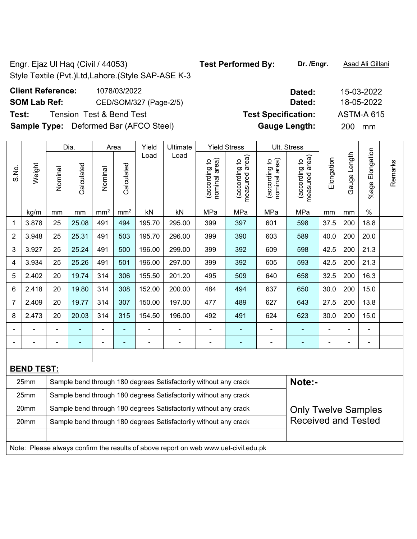**Client Reference:** 1078/03/2022 **SOM Lab Ref:** CED/SOM/327 (Page-2/5)

**Test:** Tension Test & Bend Test **Specifical Specification: Test Specification: Test Specification:**  $\mathbf{T}(\mathbf{A})$ 

**Sample Type:** Deformed Bar (AFCO Steel)

|                |                   |                                                                            | Dia.       |                 | Area                     | Yield          | Ultimate                                                                            |                                | <b>Yield Stress</b>             |                                | Ult. Stress                     |            |                |                          |         |  |  |  |
|----------------|-------------------|----------------------------------------------------------------------------|------------|-----------------|--------------------------|----------------|-------------------------------------------------------------------------------------|--------------------------------|---------------------------------|--------------------------------|---------------------------------|------------|----------------|--------------------------|---------|--|--|--|
| S.No.          | Weight            | Nominal                                                                    | Calculated | Nominal         | Calculated               | Load           | Load                                                                                | nominal area)<br>(according to | (according to<br>measured area) | (according to<br>nominal area) | (according to<br>measured area) | Elongation | Gauge Length   | Elongation<br>%age l     | Remarks |  |  |  |
|                | kg/m              | mm                                                                         | mm         | mm <sup>2</sup> | mm <sup>2</sup>          | kN             | kN                                                                                  | MPa                            | MPa                             | MPa                            | MPa                             | mm         | mm             | $\%$                     |         |  |  |  |
| 1              | 3.878             | 25                                                                         | 25.08      | 491             | 494                      | 195.70         | 295.00                                                                              | 399                            | 397                             | 601                            | 598                             | 37.5       | 200            | 18.8                     |         |  |  |  |
| $\overline{2}$ | 3.948             | 25                                                                         | 25.31      | 491             | 503                      | 195.70         | 296.00                                                                              | 399                            | 390                             | 603                            | 589                             | 40.0       | 200            | 20.0                     |         |  |  |  |
| 3              | 3.927             | 25                                                                         | 25.24      | 491             | 500                      | 196.00         | 299.00                                                                              | 399                            | 392                             | 609                            | 598                             | 42.5       | 200            | 21.3                     |         |  |  |  |
| 4              | 3.934             | 25                                                                         | 25.26      | 491             | 501                      | 196.00         | 297.00                                                                              | 399                            | 392                             | 605                            | 593                             | 42.5       | 200            | 21.3                     |         |  |  |  |
| 5              | 2.402             | 20                                                                         | 19.74      | 314             | 306                      | 155.50         | 201.20                                                                              | 495                            | 509                             | 640                            | 658                             | 32.5       | 200            | 16.3                     |         |  |  |  |
| 6              | 2.418             | 20                                                                         | 19.80      | 314             | 308                      | 152.00         | 200.00                                                                              | 484                            | 494                             | 637                            | 200<br>30.0<br>15.0<br>650      |            |                |                          |         |  |  |  |
| $\overline{7}$ | 2.409             | 20                                                                         | 19.77      | 314             | 307                      | 150.00         | 197.00                                                                              | 477                            | 489                             | 627                            | 643                             | 27.5       | 200            | 13.8                     |         |  |  |  |
| 8              | 2.473             | 20                                                                         | 20.03      | 314             | 315                      | 154.50         | 196.00                                                                              | 492                            | 491                             | 624                            | 623                             | 30.0       | 200            | 15.0                     |         |  |  |  |
|                |                   |                                                                            |            |                 |                          |                |                                                                                     | $\blacksquare$                 | ۰                               |                                |                                 |            |                |                          |         |  |  |  |
|                |                   | Ē,                                                                         |            | $\blacksquare$  | $\overline{\phantom{0}}$ | $\blacksquare$ | ÷                                                                                   | $\blacksquare$                 | $\overline{a}$                  |                                | ۰                               |            | $\blacksquare$ | $\overline{\phantom{a}}$ |         |  |  |  |
|                |                   |                                                                            |            |                 |                          |                |                                                                                     |                                |                                 |                                |                                 |            |                |                          |         |  |  |  |
|                | <b>BEND TEST:</b> |                                                                            |            |                 |                          |                |                                                                                     |                                |                                 |                                |                                 |            |                |                          |         |  |  |  |
|                | 25mm              | Sample bend through 180 degrees Satisfactorily without any crack<br>Note:- |            |                 |                          |                |                                                                                     |                                |                                 |                                |                                 |            |                |                          |         |  |  |  |
|                | 25mm              |                                                                            |            |                 |                          |                | Sample bend through 180 degrees Satisfactorily without any crack                    |                                |                                 |                                |                                 |            |                |                          |         |  |  |  |
|                | 20mm              |                                                                            |            |                 |                          |                | Sample bend through 180 degrees Satisfactorily without any crack                    |                                |                                 |                                | <b>Only Twelve Samples</b>      |            |                |                          |         |  |  |  |
|                | 20mm              |                                                                            |            |                 |                          |                | Sample bend through 180 degrees Satisfactorily without any crack                    |                                |                                 |                                | <b>Received and Tested</b>      |            |                |                          |         |  |  |  |
|                |                   |                                                                            |            |                 |                          |                |                                                                                     |                                |                                 |                                |                                 |            |                |                          |         |  |  |  |
|                |                   |                                                                            |            |                 |                          |                | Note: Please always confirm the results of above report on web www.uet-civil.edu.pk |                                |                                 |                                |                                 |            |                |                          |         |  |  |  |

| Dated:               | 15-03-2022        |
|----------------------|-------------------|
|                      |                   |
| Dated:               | 18-05-2022        |
| est Specification:   | <b>ASTM-A 615</b> |
| <b>Gauge Length:</b> | 200<br>mm         |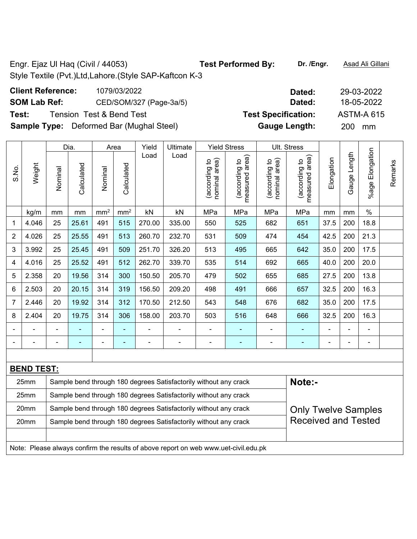**Client Reference:** 1079/03/2022 **Dated:** 29-03-2022 **SOM Lab Ref:** CED/SOM/327 (Page-3a/5) **Dated:** 18-05-2022 **Test:** Tension Test & Bend Test **Test Specification:** ASTM-A 615 **Sample Type:** Deformed Bar (Mughal Steel) **Gauge Length:** 200 mm

|                |                   |                | Dia.           |                          | Area            | Yield          | Ultimate                                                                            |                                | <b>Yield Stress</b>             |                                | <b>Ult. Stress</b>              |                |              |                      |         |
|----------------|-------------------|----------------|----------------|--------------------------|-----------------|----------------|-------------------------------------------------------------------------------------|--------------------------------|---------------------------------|--------------------------------|---------------------------------|----------------|--------------|----------------------|---------|
| S.No.          | Weight            | Nominal        | Calculated     | Nominal                  | Calculated      | Load           | Load                                                                                | nominal area)<br>(according to | measured area)<br>(according to | nominal area)<br>(according to | measured area)<br>(according to | Elongation     | Gauge Length | Elongation<br>%age l | Remarks |
|                | kg/m              | mm             | mm             | mm <sup>2</sup>          | mm <sup>2</sup> | kN             | kN                                                                                  | MPa                            | MPa                             | MPa                            | MPa                             | mm             | mm           | $\%$                 |         |
| 1              | 4.046             | 25             | 25.61          | 491                      | 515             | 270.00         | 335.00                                                                              | 550                            | 525                             | 682                            | 651                             | 37.5           | 200          | 18.8                 |         |
| 2              | 4.026             | 25             | 25.55          | 491                      | 513             | 260.70         | 232.70                                                                              | 531                            | 509                             | 474                            | 454                             | 42.5           | 200          | 21.3                 |         |
| 3              | 3.992             | 25             | 25.45          | 491                      | 509             | 251.70         | 326.20                                                                              | 513                            | 495                             | 665                            | 642                             | 35.0           | 200          | 17.5                 |         |
| 4              | 4.016             | 25             | 25.52          | 491                      | 512             | 262.70         | 339.70                                                                              | 535                            | 514                             | 692                            | 665                             | 40.0           | 200          | 20.0                 |         |
| 5              | 2.358             | 20             | 19.56          | 314                      | 300             | 150.50         | 205.70                                                                              | 479                            | 502                             | 655                            | 685                             | 27.5           | 200          | 13.8                 |         |
| 6              | 2.503             | 20             | 20.15          | 314                      | 319             | 156.50         | 209.20                                                                              | 498                            | 491                             | 666                            | 657                             | 32.5           | 200          | 16.3                 |         |
| $\overline{7}$ | 2.446             | 20             | 19.92          | 314                      | 312             | 170.50         | 212.50                                                                              | 543                            | 548                             | 676                            | 682                             | 35.0           | 200          | 17.5                 |         |
| 8              | 2.404             | 20             | 19.75          | 314                      | 306             | 158.00         | 203.70                                                                              | 503                            | 516                             | 648                            | 666                             | 32.5           | 200          | 16.3                 |         |
|                |                   |                | $\blacksquare$ | $\blacksquare$           | ٠               | $\overline{a}$ |                                                                                     | $\overline{a}$                 | ٠                               | -                              | ۰                               |                |              | ÷                    |         |
|                |                   | $\blacksquare$ | ä,             | $\overline{\phantom{0}}$ | $\blacksquare$  | $\blacksquare$ | $\blacksquare$                                                                      | ÷,                             | $\blacksquare$                  | ÷                              | ٠                               | $\blacksquare$ |              | $\blacksquare$       |         |
|                |                   |                |                |                          |                 |                |                                                                                     |                                |                                 |                                |                                 |                |              |                      |         |
|                | <b>BEND TEST:</b> |                |                |                          |                 |                |                                                                                     |                                |                                 |                                |                                 |                |              |                      |         |
|                | 25mm              |                |                |                          |                 |                | Sample bend through 180 degrees Satisfactorily without any crack                    |                                |                                 |                                | Note:-                          |                |              |                      |         |
|                | 25mm              |                |                |                          |                 |                | Sample bend through 180 degrees Satisfactorily without any crack                    |                                |                                 |                                |                                 |                |              |                      |         |
|                | 20mm              |                |                |                          |                 |                | Sample bend through 180 degrees Satisfactorily without any crack                    |                                |                                 |                                | <b>Only Twelve Samples</b>      |                |              |                      |         |
|                | 20mm              |                |                |                          |                 |                | Sample bend through 180 degrees Satisfactorily without any crack                    |                                |                                 |                                | <b>Received and Tested</b>      |                |              |                      |         |
|                |                   |                |                |                          |                 |                |                                                                                     |                                |                                 |                                |                                 |                |              |                      |         |
|                |                   |                |                |                          |                 |                | Note: Please always confirm the results of above report on web www.uet-civil.edu.pk |                                |                                 |                                |                                 |                |              |                      |         |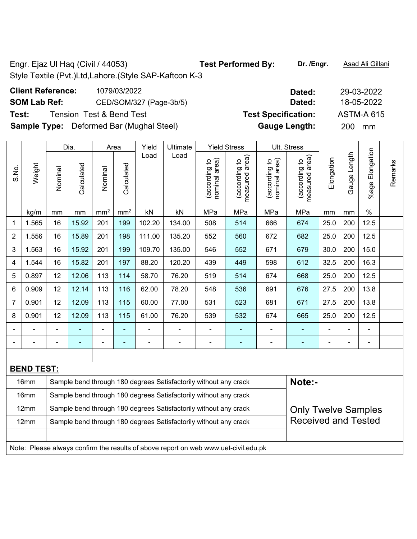**Client Reference:** 1079/03/2022 **Dated:** 29-03-2022 **SOM Lab Ref:** CED/SOM/327 (Page-3b/5) **Dated:** 18-05-2022 **Test:** Tension Test & Bend Test **Test Specification:** ASTM-A 615 **Sample Type:** Deformed Bar (Mughal Steel) **Gauge Length:** 200 mm

|       |                   |         | Dia.       |                              | Area                                                                                                                                                                                             | Yield                    | Ultimate                                                         |                                | <b>Yield Stress</b>             |                                | Ult. Stress                     |                |                |                      |         |
|-------|-------------------|---------|------------|------------------------------|--------------------------------------------------------------------------------------------------------------------------------------------------------------------------------------------------|--------------------------|------------------------------------------------------------------|--------------------------------|---------------------------------|--------------------------------|---------------------------------|----------------|----------------|----------------------|---------|
| S.No. | Weight            | Nominal | Calculated | Nominal                      | Calculated                                                                                                                                                                                       | Load                     | Load                                                             | nominal area)<br>(according to | measured area)<br>(according to | nominal area)<br>(according to | measured area)<br>(according to | Elongation     | Gauge Length   | Elongation<br>%age I | Remarks |
|       | kg/m              | mm      | mm         | mm <sup>2</sup>              | mm <sup>2</sup>                                                                                                                                                                                  | kN                       | kN                                                               | MPa                            | MPa                             | MPa                            | MPa                             | mm             | mm             | $\%$                 |         |
| 1     | 1.565             | 16      | 15.92      | 201                          | 199                                                                                                                                                                                              | 102.20                   | 134.00                                                           | 508                            | 514                             | 666                            | 674                             | 25.0           | 200            | 12.5                 |         |
| 2     | 1.556             | 16      | 15.89      | 201                          | 198                                                                                                                                                                                              | 111.00                   | 135.20                                                           | 552                            | 560                             | 672                            | 682                             | 25.0           | 200            | 12.5                 |         |
| 3     | 1.563             | 16      | 15.92      | 201                          | 199                                                                                                                                                                                              | 109.70                   | 135.00                                                           | 546                            | 552                             | 671                            | 679                             | 30.0           | 200            | 15.0                 |         |
| 4     | 1.544             | 16      | 15.82      | 201                          | 197                                                                                                                                                                                              | 88.20                    | 120.20                                                           | 439                            | 449                             | 598                            | 612                             | 32.5           | 200            | 16.3                 |         |
| 5     | 0.897             | 12      | 12.06      | 113                          | 114                                                                                                                                                                                              | 58.70                    | 76.20                                                            | 519                            | 514                             | 674                            | 668                             | 25.0           | 200            | 12.5                 |         |
| 6     | 0.909             | 12      | 12.14      | 113                          | 116                                                                                                                                                                                              | 62.00                    | 78.20                                                            | 548                            | 536                             | 691                            | 676                             | 27.5           | 200            | 13.8                 |         |
| 7     | 0.901             | 12      | 12.09      | 113                          | 115                                                                                                                                                                                              | 60.00                    | 77.00                                                            | 531                            | 523                             | 681                            | 671                             | 27.5           | 200            | 13.8                 |         |
| 8     | 0.901             | 12      | 12.09      | 113                          | 115                                                                                                                                                                                              | 61.00                    | 76.20                                                            | 539                            | 532                             | 674                            | 665                             | 25.0           | 200            | 12.5                 |         |
|       |                   |         |            | $\blacksquare$               |                                                                                                                                                                                                  |                          |                                                                  |                                |                                 |                                |                                 |                |                |                      |         |
|       |                   |         | -          | $\qquad \qquad \blacksquare$ | ۰                                                                                                                                                                                                | $\overline{\phantom{0}}$ |                                                                  | $\qquad \qquad \blacksquare$   | ٠                               | ÷                              | ۰                               | $\overline{a}$ | $\blacksquare$ | ÷                    |         |
|       |                   |         |            |                              |                                                                                                                                                                                                  |                          |                                                                  |                                |                                 |                                |                                 |                |                |                      |         |
|       | <b>BEND TEST:</b> |         |            |                              |                                                                                                                                                                                                  |                          |                                                                  |                                |                                 |                                |                                 |                |                |                      |         |
|       | 16mm              |         |            |                              |                                                                                                                                                                                                  |                          | Sample bend through 180 degrees Satisfactorily without any crack |                                |                                 |                                | Note:-                          |                |                |                      |         |
|       | 16mm              |         |            |                              |                                                                                                                                                                                                  |                          | Sample bend through 180 degrees Satisfactorily without any crack |                                |                                 |                                |                                 |                |                |                      |         |
|       | 12mm              |         |            |                              |                                                                                                                                                                                                  |                          |                                                                  |                                |                                 |                                |                                 |                |                |                      |         |
|       | 12mm              |         |            |                              | Sample bend through 180 degrees Satisfactorily without any crack<br><b>Only Twelve Samples</b><br><b>Received and Tested</b><br>Sample bend through 180 degrees Satisfactorily without any crack |                          |                                                                  |                                |                                 |                                |                                 |                |                |                      |         |

Note: Please always confirm the results of above report on web www.uet-civil.edu.pk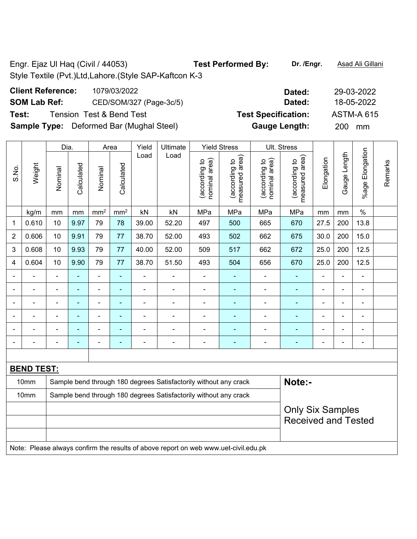| <b>Client Reference:</b> | 1079/03/2022                                    | Dated:                     | 29-03-2022        |
|--------------------------|-------------------------------------------------|----------------------------|-------------------|
| <b>SOM Lab Ref:</b>      | CED/SOM/327 (Page-3c/5)                         | Dated:                     | 18-05-2022        |
| Test:                    | Tension Test&Bend Test                          | <b>Test Specification:</b> | <b>ASTM-A 615</b> |
|                          | <b>Sample Type:</b> Deformed Bar (Mughal Steel) | <b>Gauge Length:</b>       | 200 mm            |

|                |                   | Dia.                                                      |                |                 | Area            | Yield                    | Ultimate                                                         |                                | <b>Yield Stress</b>             |                                | Ult. Stress                                             |            |                |                          |         |
|----------------|-------------------|-----------------------------------------------------------|----------------|-----------------|-----------------|--------------------------|------------------------------------------------------------------|--------------------------------|---------------------------------|--------------------------------|---------------------------------------------------------|------------|----------------|--------------------------|---------|
| S.No.          | Weight            | Nominal                                                   | Calculated     | Nominal         | Calculated      | Load                     | Load                                                             | nominal area)<br>(according to | (according to<br>measured area) | nominal area)<br>(according to | area)<br>(according to<br>measured                      | Elongation | Gauge Length   | Elongation<br>%age l     | Remarks |
|                | kg/m              | mm                                                        | mm             | mm <sup>2</sup> | mm <sup>2</sup> | kN                       | kN                                                               | MPa                            | MPa                             | MPa                            | MPa                                                     | mm         | mm             | $\%$                     |         |
| 1              | 0.610             | 10                                                        | 9.97           | 79              | 78              | 39.00                    | 52.20                                                            | 497                            | 500                             | 665                            | 670                                                     | 27.5       | 200            | 13.8                     |         |
| $\overline{2}$ | 0.606             | 10                                                        | 9.91           | 79              | 77              | 38.70                    | 52.00                                                            | 493                            | 502                             | 662                            | 675                                                     | 30.0       | 200            | 15.0                     |         |
| $\mathbf{3}$   | 0.608             | 10                                                        | 9.93           | 79              | 77              | 40.00                    | 52.00                                                            | 509                            | 517                             | 662                            | 672                                                     | 25.0       | 200            | 12.5                     |         |
| 4              | 0.604             | 10                                                        | 9.90           | 79              | 77              | 38.70                    | 51.50                                                            | 493                            | 504                             | 656                            | 670                                                     | 25.0       | 200            | 12.5                     |         |
| $\blacksquare$ |                   | $\blacksquare$                                            | $\blacksquare$ | ä,              | $\blacksquare$  | $\overline{\phantom{0}}$ | $\blacksquare$                                                   | $\blacksquare$                 | ٠                               | $\blacksquare$                 | ÷,                                                      |            | L,             | $\blacksquare$           |         |
| $\blacksquare$ | $\blacksquare$    | $\blacksquare$                                            | $\blacksquare$ | ä,              | $\blacksquare$  | $\blacksquare$           | $\frac{1}{2}$                                                    | $\blacksquare$                 | $\blacksquare$                  | $\blacksquare$                 | ä,<br>$\frac{1}{2}$<br>$\blacksquare$<br>$\blacksquare$ |            |                |                          |         |
| $\blacksquare$ | $\blacksquare$    | $\blacksquare$                                            | $\blacksquare$ | ÷,              | $\blacksquare$  | $\overline{\phantom{0}}$ | ÷                                                                | $\blacksquare$                 | ÷                               | $\blacksquare$                 | $\blacksquare$                                          | ÷          | $\blacksquare$ | $\blacksquare$           |         |
|                |                   |                                                           | $\blacksquare$ | $\blacksquare$  | $\blacksquare$  |                          | ÷                                                                |                                |                                 | $\overline{\phantom{0}}$       | $\blacksquare$                                          |            | L,             | $\blacksquare$           |         |
|                |                   |                                                           |                | ۰               | $\blacksquare$  |                          |                                                                  |                                |                                 |                                |                                                         |            | Ē,             | ÷                        |         |
| $\blacksquare$ |                   | $\overline{a}$                                            | ÷              | ÷               | $\blacksquare$  | $\overline{a}$           | ÷                                                                | $\blacksquare$                 | ÷                               | ÷                              | $\blacksquare$                                          | -          | -              | $\overline{\phantom{0}}$ |         |
|                |                   |                                                           |                |                 |                 |                          |                                                                  |                                |                                 |                                |                                                         |            |                |                          |         |
|                | <b>BEND TEST:</b> |                                                           |                |                 |                 |                          |                                                                  |                                |                                 |                                |                                                         |            |                |                          |         |
|                | 10mm              |                                                           |                |                 |                 |                          | Sample bend through 180 degrees Satisfactorily without any crack |                                |                                 |                                | Note:-                                                  |            |                |                          |         |
|                | 10mm              |                                                           |                |                 |                 |                          | Sample bend through 180 degrees Satisfactorily without any crack |                                |                                 |                                |                                                         |            |                |                          |         |
|                |                   |                                                           |                |                 |                 |                          |                                                                  |                                |                                 |                                | <b>Only Six Samples</b>                                 |            |                |                          |         |
|                |                   |                                                           |                |                 |                 |                          |                                                                  |                                |                                 |                                | <b>Received and Tested</b>                              |            |                |                          |         |
|                |                   |                                                           |                |                 |                 |                          |                                                                  |                                |                                 |                                |                                                         |            |                |                          |         |
| .              | $\sim$            | $\ddot{\phantom{a}}$<br>$\sim$<br>$\sim$<br>$\sim$ $\sim$ |                |                 |                 |                          |                                                                  |                                |                                 |                                |                                                         |            |                |                          |         |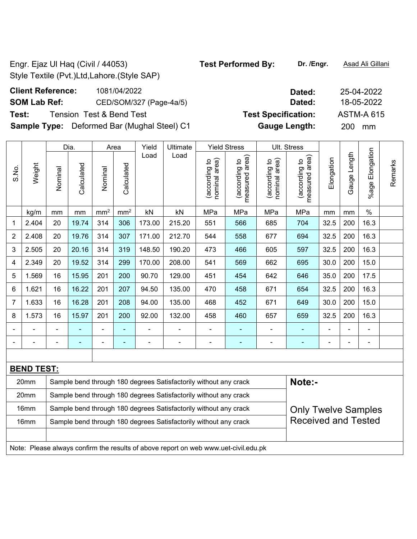**Client Reference:** 1081/04/2022 **Dated:** 25-04-2022 **SOM Lab Ref:** CED/SOM/327 (Page-4a/5) **Dated:** 18-05-2022 **Test:** Tension Test & Bend Test **Test Specification:** ASTM-A 615 **Sample Type:** Deformed Bar (Mughal Steel) C1 **Gauge Length:** 200 mm

|                |                   |                                                                  | Dia.       |                 | Area            | Yield  | Ultimate                                                                            |                                | <b>Yield Stress</b>             |                                | Ult. Stress                       |                |              |                 |         |
|----------------|-------------------|------------------------------------------------------------------|------------|-----------------|-----------------|--------|-------------------------------------------------------------------------------------|--------------------------------|---------------------------------|--------------------------------|-----------------------------------|----------------|--------------|-----------------|---------|
| S.No.          | Weight            | Nominal                                                          | Calculated | Nominal         | Calculated      | Load   | Load                                                                                | nominal area)<br>(according to | (according to<br>measured area) | (according to<br>nominal area) | (according to  <br>measured area) | Elongation     | Gauge Length | %age Elongation | Remarks |
|                | kg/m              | mm                                                               | mm         | mm <sup>2</sup> | mm <sup>2</sup> | kN     | kN                                                                                  | MPa                            | MPa                             | MPa                            | MPa                               | mm             | mm           | $\%$            |         |
| 1              | 2.404             | 20                                                               | 19.74      | 314             | 306             | 173.00 | 215.20                                                                              | 551                            | 566                             | 685                            | 704                               | 32.5           | 200          | 16.3            |         |
| $\overline{2}$ | 2.408             | 20                                                               | 19.76      | 314             | 307             | 171.00 | 212.70                                                                              | 544                            | 558                             | 677                            | 694                               | 32.5           | 200          | 16.3            |         |
| 3              | 2.505             | 20                                                               | 20.16      | 314             | 319             | 148.50 | 190.20                                                                              | 473                            | 466                             | 605                            | 597                               | 32.5           | 200          | 16.3            |         |
| 4              | 2.349             | 20                                                               | 19.52      | 314             | 299             | 170.00 | 208.00                                                                              | 541                            | 569                             | 662                            | 695                               | 30.0           | 200          | 15.0            |         |
| 5              | 1.569             | 16                                                               | 15.95      | 201             | 200             | 90.70  | 129.00                                                                              | 451                            | 454                             | 642                            | 646                               | 35.0           | 200          | 17.5            |         |
| 6              | 1.621             | 16                                                               | 16.22      | 201             | 207             | 94.50  | 135.00                                                                              | 470                            | 458                             | 671                            | 654                               | 32.5           | 200          | 16.3            |         |
| 7              | 1.633             | 16                                                               | 16.28      | 201             | 208             | 94.00  | 135.00                                                                              | 468                            | 452                             | 671                            | 649                               | 30.0           | 200          | 15.0            |         |
| 8              | 1.573             | 16                                                               | 15.97      | 201             | 200             | 92.00  | 132.00                                                                              | 458                            | 460                             | 657                            | 659                               | 32.5           | 200          | 16.3            |         |
|                |                   | $\blacksquare$                                                   |            | ÷,              | ÷               |        | $\blacksquare$                                                                      | $\blacksquare$                 |                                 |                                |                                   |                | L,           | $\blacksquare$  |         |
|                |                   | L,                                                               |            | $\blacksquare$  | $\blacksquare$  |        | $\blacksquare$                                                                      | $\blacksquare$                 | $\blacksquare$                  | $\blacksquare$                 | ä,                                | $\blacksquare$ |              | $\blacksquare$  |         |
|                |                   |                                                                  |            |                 |                 |        |                                                                                     |                                |                                 |                                |                                   |                |              |                 |         |
|                | <b>BEND TEST:</b> |                                                                  |            |                 |                 |        |                                                                                     |                                |                                 |                                |                                   |                |              |                 |         |
|                | 20mm              |                                                                  |            |                 |                 |        | Sample bend through 180 degrees Satisfactorily without any crack                    |                                |                                 |                                | Note:-                            |                |              |                 |         |
|                | 20mm              | Sample bend through 180 degrees Satisfactorily without any crack |            |                 |                 |        |                                                                                     |                                |                                 |                                |                                   |                |              |                 |         |
|                | 16mm              |                                                                  |            |                 |                 |        | Sample bend through 180 degrees Satisfactorily without any crack                    |                                |                                 |                                | <b>Only Twelve Samples</b>        |                |              |                 |         |
|                | 16mm              |                                                                  |            |                 |                 |        | Sample bend through 180 degrees Satisfactorily without any crack                    |                                |                                 |                                | <b>Received and Tested</b>        |                |              |                 |         |
|                |                   |                                                                  |            |                 |                 |        |                                                                                     |                                |                                 |                                |                                   |                |              |                 |         |
|                |                   |                                                                  |            |                 |                 |        | Note: Please always confirm the results of above report on web www.uet-civil.edu.pk |                                |                                 |                                |                                   |                |              |                 |         |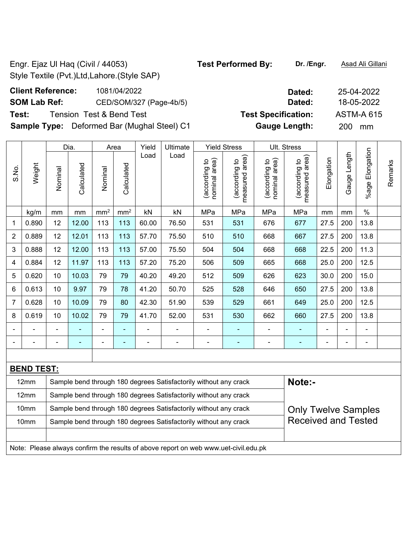Received and Tested

**Client Reference:** 1081/04/2022 **Dated:** 25-04-2022 **SOM Lab Ref:** CED/SOM/327 (Page-4b/5) **Dated:** 18-05-2022 **Test:** Tension Test & Bend Test **Test Specification:** ASTM-A 615 **Sample Type:** Deformed Bar (Mughal Steel) C1 **Gauge Length:** 200 mm

10mm | Sample bend through 180 degrees Satisfactorily without any crack

Note: Please always confirm the results of above report on web www.uet-civil.edu.pk

|                |                   |                                                                                                | Dia.                     |                 | Area                     | Yield | Ultimate                                                         |                                | <b>Yield Stress</b>                |                                | Ult. Stress                        |                |                          |                 |         |
|----------------|-------------------|------------------------------------------------------------------------------------------------|--------------------------|-----------------|--------------------------|-------|------------------------------------------------------------------|--------------------------------|------------------------------------|--------------------------------|------------------------------------|----------------|--------------------------|-----------------|---------|
| S.No.          | Weight            | Nominal                                                                                        | Calculated               | Nominal         | Calculated               | Load  | Load                                                             | nominal area)<br>(according to | area)<br>(according to<br>measured | nominal area)<br>(according to | area)<br>(according to<br>measured | Elongation     | Gauge Length             | %age Elongation | Remarks |
|                | kg/m              | mm                                                                                             | mm                       | mm <sup>2</sup> | mm <sup>2</sup>          | kN    | kN                                                               | MPa                            | MPa                                | MPa                            | MPa                                | mm             | mm                       | $\%$            |         |
| $\mathbf 1$    | 0.890             | 12                                                                                             | 12.00                    | 113             | 113                      | 60.00 | 76.50                                                            | 531                            | 531                                | 676                            | 677                                | 27.5           | 200                      | 13.8            |         |
| $\sqrt{2}$     | 0.889             | 12                                                                                             | 12.01                    | 113             | 113                      | 57.70 | 75.50                                                            | 510                            | 510                                | 668                            | 667                                | 27.5           | 200                      | 13.8            |         |
| $\sqrt{3}$     | 0.888             | 12                                                                                             | 12.00                    | 113             | 113                      | 57.00 | 75.50                                                            | 504                            | 504                                | 668                            | 668                                | 22.5           | 200                      | 11.3            |         |
| 4              | 0.884             | 12                                                                                             | 11.97                    | 113             | 113                      | 57.20 | 75.20                                                            | 506                            | 509                                | 665                            | 668                                | 25.0           | 200                      | 12.5            |         |
| $\sqrt{5}$     | 0.620             | 10                                                                                             | 10.03                    | 79              | 79                       | 40.20 | 49.20                                                            | 512                            | 509                                | 626                            | 623                                | 30.0           | 200                      | 15.0            |         |
| $\,6\,$        | 0.613             | 10                                                                                             | 9.97                     | 79              | 78                       | 41.20 | 50.70                                                            | 525                            | 528                                | 646                            | 650                                | 27.5           | 200                      | 13.8            |         |
| $\overline{7}$ | 0.628             | 10                                                                                             | 10.09                    | 79              | 80                       | 42.30 | 51.90                                                            | 539                            | 529                                | 661                            | 649                                | 25.0           | 200                      | 12.5            |         |
| $\bf 8$        | 0.619             | 10                                                                                             | 10.02                    | 79              | 79                       | 41.70 | 52.00                                                            | 531                            | 530                                | 662                            | 660                                | 27.5           | 200                      | 13.8            |         |
|                |                   |                                                                                                |                          |                 |                          |       |                                                                  |                                |                                    |                                | $\blacksquare$                     |                | $\blacksquare$           | -               |         |
|                |                   | ٠                                                                                              | $\overline{\phantom{0}}$ |                 | $\overline{\phantom{0}}$ | -     | $\overline{a}$                                                   | ٠                              | ۰                                  | $\blacksquare$                 | $\overline{\phantom{a}}$           | $\blacksquare$ | $\overline{\phantom{a}}$ | $\blacksquare$  |         |
|                |                   |                                                                                                |                          |                 |                          |       |                                                                  |                                |                                    |                                |                                    |                |                          |                 |         |
|                | <b>BEND TEST:</b> |                                                                                                |                          |                 |                          |       |                                                                  |                                |                                    |                                |                                    |                |                          |                 |         |
|                | 12mm              |                                                                                                |                          |                 |                          |       | Sample bend through 180 degrees Satisfactorily without any crack |                                |                                    |                                | Note:-                             |                |                          |                 |         |
|                | 12mm              |                                                                                                |                          |                 |                          |       | Sample bend through 180 degrees Satisfactorily without any crack |                                |                                    |                                |                                    |                |                          |                 |         |
|                | 10mm              | Sample bend through 180 degrees Satisfactorily without any crack<br><b>Only Twelve Samples</b> |                          |                 |                          |       |                                                                  |                                |                                    |                                |                                    |                |                          |                 |         |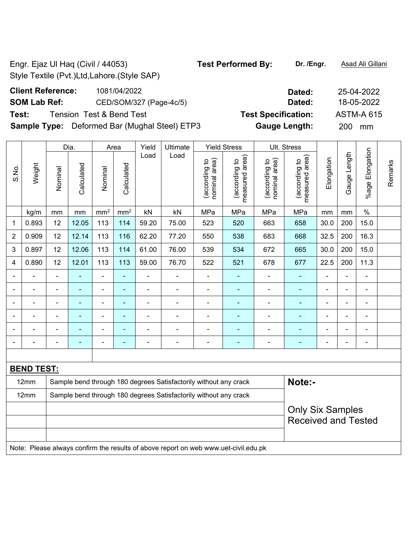## **SOM Lab Ref:** CED/SOM/327 (Page-4c/5) **Dated:** 18-05-2022

**Test:** Tension Test & Bend Test **Test Specification:** ASTM-A 615

**Sample Type:** Deformed Bar (Mughal Steel) ETP3 **Gauge Length:** 200 mm

|                |                                                                                     |                                                                  | Dia.           |                          | Area            | Yield          | Ultimate                                                         |                                | <b>Yield Stress</b>             |                                | Ult. Stress                        |                          |                |                          |         |
|----------------|-------------------------------------------------------------------------------------|------------------------------------------------------------------|----------------|--------------------------|-----------------|----------------|------------------------------------------------------------------|--------------------------------|---------------------------------|--------------------------------|------------------------------------|--------------------------|----------------|--------------------------|---------|
| S.No.          | Weight                                                                              | Nominal                                                          | Calculated     | Nominal                  | Calculated      | Load           | Load                                                             | nominal area)<br>(according to | measured area)<br>(according to | nominal area)<br>(according to | area)<br>(according to<br>measured | Elongation               | Gauge Length   | %age Elongation          | Remarks |
|                | kg/m                                                                                | mm                                                               | mm             | mm <sup>2</sup>          | mm <sup>2</sup> | kN             | kN                                                               | MPa                            | MPa                             | MPa                            | MPa                                | mm                       | mm             | $\%$                     |         |
| 1              | 0.893                                                                               | 12                                                               | 12.05          | 113                      | 114             | 59.20          | 75.00                                                            | 523                            | 520                             | 663                            | 658                                | 30.0                     | 200            | 15.0                     |         |
| $\overline{2}$ | 0.909                                                                               | 12                                                               | 12.14          | 113                      | 116             | 62.20          | 77.20                                                            | 550                            | 538                             | 683                            | 668                                | 32.5                     | 200            | 16.3                     |         |
| 3              | 0.897                                                                               | 12                                                               | 12.06          | 113                      | 114             | 61.00          | 76.00                                                            | 539                            | 534                             | 672                            | 665                                | 30.0                     | 200            | 15.0                     |         |
| 4              | 0.890                                                                               | 12                                                               | 12.01          | 113                      | 113             | 59.00          | 76.70                                                            | 522                            | 521                             | 678                            | 677                                | 22.5                     | 200            | 11.3                     |         |
| ä,             | ä,                                                                                  | $\blacksquare$                                                   | $\blacksquare$ | $\overline{\phantom{0}}$ | ä,              | ä,             | ÷,                                                               | $\overline{\phantom{0}}$       | ÷,                              | $\blacksquare$                 | $\blacksquare$                     | $\blacksquare$           | ä,             | $\blacksquare$           |         |
|                | ä,                                                                                  | $\blacksquare$                                                   | ÷,             | $\blacksquare$           | $\blacksquare$  | $\blacksquare$ | $\blacksquare$                                                   | $\overline{\phantom{0}}$       | ۰                               | $\frac{1}{2}$                  | $\blacksquare$                     | ÷                        | ÷,             | $\blacksquare$           |         |
|                | $\blacksquare$                                                                      |                                                                  | ä,             | $\overline{\phantom{a}}$ | $\blacksquare$  | $\blacksquare$ | $\blacksquare$                                                   | $\blacksquare$                 | ä,                              | $\blacksquare$                 | $\blacksquare$                     | $\overline{\phantom{a}}$ | $\blacksquare$ | $\blacksquare$           |         |
|                |                                                                                     |                                                                  | ÷              | $\blacksquare$           | ÷               | $\blacksquare$ | $\blacksquare$                                                   | $\blacksquare$                 |                                 |                                | ٠                                  |                          | $\blacksquare$ | $\blacksquare$           |         |
|                |                                                                                     |                                                                  | ÷              | ä,                       | ۰               | ä,             | ä,                                                               | ۰                              | -                               | $\blacksquare$                 | $\blacksquare$                     |                          |                | $\blacksquare$           |         |
|                |                                                                                     |                                                                  | ٠              | ۰                        | ۰               | $\overline{a}$ | $\blacksquare$                                                   | $\overline{a}$                 | -                               | $\overline{a}$                 | $\overline{\phantom{a}}$           | $\overline{\phantom{0}}$ | $\blacksquare$ | $\overline{\phantom{0}}$ |         |
|                |                                                                                     |                                                                  |                |                          |                 |                |                                                                  |                                |                                 |                                |                                    |                          |                |                          |         |
|                | <b>BEND TEST:</b>                                                                   |                                                                  |                |                          |                 |                |                                                                  |                                |                                 |                                |                                    |                          |                |                          |         |
|                | 12mm                                                                                |                                                                  |                |                          |                 |                | Sample bend through 180 degrees Satisfactorily without any crack |                                |                                 |                                | Note:-                             |                          |                |                          |         |
|                | 12mm                                                                                | Sample bend through 180 degrees Satisfactorily without any crack |                |                          |                 |                |                                                                  |                                |                                 |                                |                                    |                          |                |                          |         |
|                |                                                                                     |                                                                  |                |                          |                 |                |                                                                  |                                |                                 |                                | <b>Only Six Samples</b>            |                          |                |                          |         |
|                |                                                                                     |                                                                  |                |                          |                 |                |                                                                  |                                |                                 |                                | <b>Received and Tested</b>         |                          |                |                          |         |
|                |                                                                                     |                                                                  |                |                          |                 |                |                                                                  |                                |                                 |                                |                                    |                          |                |                          |         |
|                | Note: Please always confirm the results of above report on web www.uet-civil.edu.pk |                                                                  |                |                          |                 |                |                                                                  |                                |                                 |                                |                                    |                          |                |                          |         |

# **Client Reference:** 1081/04/2022 **Dated:** 25-04-2022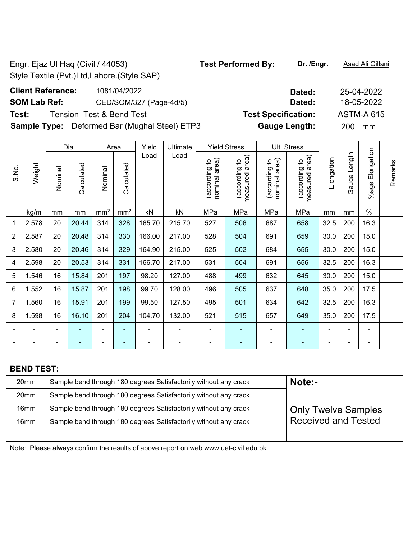## **SOM Lab Ref:** CED/SOM/327 (Page-4d/5) **Dated:** 18-05-2022 **Test:** Tension Test & Bend Test **Test Specification:** ASTM-A 615

**Sample Type:** Deformed Bar (Mughal Steel) ETP3 **Gauge Length:** 200 mm

|                |                                                                                     |                                                                  | Dia.       |                 | Area            | Yield          | Ultimate                                                         |                                | <b>Yield Stress</b>             |                                | Ult. Stress                     |                |                |                      |         |
|----------------|-------------------------------------------------------------------------------------|------------------------------------------------------------------|------------|-----------------|-----------------|----------------|------------------------------------------------------------------|--------------------------------|---------------------------------|--------------------------------|---------------------------------|----------------|----------------|----------------------|---------|
| S.No.          | Weight                                                                              | Nominal                                                          | Calculated | Nominal         | Calculated      | Load           | Load                                                             | nominal area)<br>(according to | (according to<br>measured area) | nominal area)<br>(according to | (according to<br>measured area) | Elongation     | Gauge Length   | Elongation<br>%age I | Remarks |
|                | kg/m                                                                                | mm                                                               | mm         | mm <sup>2</sup> | mm <sup>2</sup> | kN             | kN                                                               | MPa                            | MPa                             | MPa                            | MPa                             | mm             | mm             | $\%$                 |         |
| 1              | 2.578                                                                               | 20                                                               | 20.44      | 314             | 328             | 165.70         | 215.70                                                           | 527                            | 506                             | 687                            | 658                             | 32.5           | 200            | 16.3                 |         |
| $\overline{2}$ | 2.587                                                                               | 20                                                               | 20.48      | 314             | 330             | 166.00         | 217.00                                                           | 528                            | 504                             | 691                            | 659                             | 30.0           | 200            | 15.0                 |         |
| 3              | 2.580                                                                               | 20                                                               | 20.46      | 314             | 329             | 164.90         | 215.00                                                           | 525                            | 502                             | 684                            | 655                             | 30.0           | 200            | 15.0                 |         |
| 4              | 2.598                                                                               | 20                                                               | 20.53      | 314             | 331             | 166.70         | 217.00                                                           | 531                            | 504                             | 691                            | 656                             | 32.5           | 200            | 16.3                 |         |
| 5              | 1.546                                                                               | 16                                                               | 15.84      | 201             | 197             | 98.20          | 127.00                                                           | 488                            | 499                             | 632                            | 645                             | 30.0           | 200            | 15.0                 |         |
| 6              | 1.552                                                                               | 16                                                               | 15.87      | 201             | 198             | 99.70          | 128.00                                                           | 496                            | 505                             | 637                            | 648                             | 35.0           | 200            | 17.5                 |         |
| $\overline{7}$ | 1.560                                                                               | 16                                                               | 15.91      | 201             | 199             | 99.50          | 127.50                                                           | 495                            | 501                             | 634                            | 642                             | 32.5           | 200            | 16.3                 |         |
| 8              | 1.598                                                                               | 16                                                               | 16.10      | 201             | 204             | 104.70         | 132.00                                                           | 521                            | 515                             | 657                            | 649                             | 35.0           | 200            | 17.5                 |         |
|                |                                                                                     |                                                                  |            | $\blacksquare$  | $\blacksquare$  |                |                                                                  | $\blacksquare$                 | ٠                               | $\blacksquare$                 |                                 |                |                | $\blacksquare$       |         |
|                |                                                                                     | $\blacksquare$                                                   | ÷          | $\blacksquare$  | $\blacksquare$  | $\blacksquare$ |                                                                  | $\blacksquare$                 | $\blacksquare$                  | $\qquad \qquad \blacksquare$   | $\blacksquare$                  | $\blacksquare$ | $\blacksquare$ | $\blacksquare$       |         |
|                |                                                                                     |                                                                  |            |                 |                 |                |                                                                  |                                |                                 |                                |                                 |                |                |                      |         |
|                | <b>BEND TEST:</b>                                                                   |                                                                  |            |                 |                 |                |                                                                  |                                |                                 |                                |                                 |                |                |                      |         |
|                | 20mm                                                                                |                                                                  |            |                 |                 |                | Sample bend through 180 degrees Satisfactorily without any crack |                                |                                 |                                | Note:-                          |                |                |                      |         |
|                | 20mm                                                                                | Sample bend through 180 degrees Satisfactorily without any crack |            |                 |                 |                |                                                                  |                                |                                 |                                |                                 |                |                |                      |         |
|                | 16mm                                                                                |                                                                  |            |                 |                 |                | Sample bend through 180 degrees Satisfactorily without any crack |                                |                                 |                                | <b>Only Twelve Samples</b>      |                |                |                      |         |
|                | 16mm                                                                                |                                                                  |            |                 |                 |                | Sample bend through 180 degrees Satisfactorily without any crack |                                |                                 |                                | <b>Received and Tested</b>      |                |                |                      |         |
|                |                                                                                     |                                                                  |            |                 |                 |                |                                                                  |                                |                                 |                                |                                 |                |                |                      |         |
|                | Note: Please always confirm the results of above report on web www.uet-civil.edu.pk |                                                                  |            |                 |                 |                |                                                                  |                                |                                 |                                |                                 |                |                |                      |         |

## **Client Reference:** 1081/04/2022 **Dated:** 25-04-2022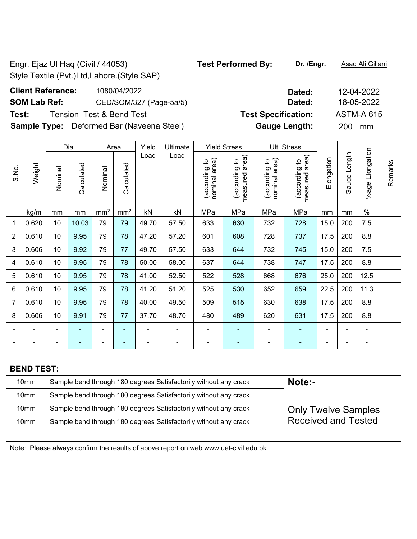**Client Reference:** 1080/04/2022 **SOM Lab Ref:** CED/SOM/327 (Page-5a/5) **Test:** Tension Test & Bend Test **Specifical Specification: Test Specification: Tension: 31615 Sample Type:** Deformed Bar (Naveena Steel)

10mm | Sample bend through 180 degrees Satisfactorily without any crack 10mm | Sample bend through 180 degrees Satisfactorily without any crack

Note: Please always confirm the results of above report on web www.uet-civil.edu.pk

| Dated:               | 12-04-2022        |
|----------------------|-------------------|
| Dated:               | 18-05-2022        |
| est Specification:   | <b>ASTM-A 615</b> |
| <b>Gauge Length:</b> | 200<br>mm         |

Received and Tested

|                |                   |                                                                                                | Dia.       |                 | Area            | Yield | Ultimate                                                         |                                | <b>Yield Stress</b>             |                                | Ult. Stress                        |            |                   |                 |         |
|----------------|-------------------|------------------------------------------------------------------------------------------------|------------|-----------------|-----------------|-------|------------------------------------------------------------------|--------------------------------|---------------------------------|--------------------------------|------------------------------------|------------|-------------------|-----------------|---------|
| S.No.          | Weight            | Nominal                                                                                        | Calculated | Nominal         | Calculated      | Load  | Load                                                             | nominal area)<br>(according to | measured area)<br>(according to | (according to<br>nominal area) | area)<br>(according to<br>measured | Elongation | Length<br>Gauge I | %age Elongation | Remarks |
|                | kg/m              | mm                                                                                             | mm         | mm <sup>2</sup> | mm <sup>2</sup> | kN    | kN                                                               | MPa                            | MPa                             | MPa                            | MPa                                | mm         | mm                | $\%$            |         |
| 1              | 0.620             | 10                                                                                             | 10.03      | 79              | 79              | 49.70 | 57.50                                                            | 633                            | 630                             | 732                            | 728                                | 15.0       | 200               | 7.5             |         |
| $\overline{2}$ | 0.610             | 10                                                                                             | 9.95       | 79              | 78              | 47.20 | 57.20                                                            | 601                            | 608                             | 728                            | 737                                | 17.5       | 200               | 8.8             |         |
| 3              | 0.606             | 10                                                                                             | 9.92       | 79              | 77              | 49.70 | 57.50                                                            | 633                            | 644                             | 732                            | 745                                | 15.0       | 200               | 7.5             |         |
| 4              | 0.610             | 10                                                                                             | 9.95       | 79              | 78              | 50.00 | 58.00                                                            | 637                            | 644                             | 738                            | 747                                | 17.5       | 200               | 8.8             |         |
| 5              | 0.610             | 10                                                                                             | 9.95       | 79              | 78              | 41.00 | 52.50                                                            | 522                            | 528                             | 668                            | 676                                | 25.0       | 200               | 12.5            |         |
| 6              | 0.610             | 10                                                                                             | 9.95       | 79              | 78              | 41.20 | 51.20                                                            | 525                            | 530                             | 652                            | 659                                | 22.5       | 200               | 11.3            |         |
| $\overline{7}$ | 0.610             | 10                                                                                             | 9.95       | 79              | 78              | 40.00 | 49.50                                                            | 509                            | 515                             | 630                            | 638                                | 17.5       | 200               | 8.8             |         |
| 8              | 0.606             | 10                                                                                             | 9.91       | 79              | 77              | 37.70 | 48.70                                                            | 480                            | 489                             | 620                            | 631                                | 17.5       | 200               | 8.8             |         |
|                |                   |                                                                                                |            | -               |                 |       |                                                                  |                                |                                 |                                |                                    |            |                   | $\overline{a}$  |         |
|                |                   |                                                                                                |            | -               | -               |       | $\overline{a}$                                                   |                                | $\blacksquare$                  |                                | -                                  |            | -                 | ۰               |         |
|                |                   |                                                                                                |            |                 |                 |       |                                                                  |                                |                                 |                                |                                    |            |                   |                 |         |
|                | <b>BEND TEST:</b> |                                                                                                |            |                 |                 |       |                                                                  |                                |                                 |                                |                                    |            |                   |                 |         |
|                | 10mm              |                                                                                                |            |                 |                 |       | Sample bend through 180 degrees Satisfactorily without any crack |                                |                                 |                                | Note:-                             |            |                   |                 |         |
|                | 10mm              |                                                                                                |            |                 |                 |       | Sample bend through 180 degrees Satisfactorily without any crack |                                |                                 |                                |                                    |            |                   |                 |         |
|                | 10mm              | Sample bend through 180 degrees Satisfactorily without any crack<br><b>Only Twelve Samples</b> |            |                 |                 |       |                                                                  |                                |                                 |                                |                                    |            |                   |                 |         |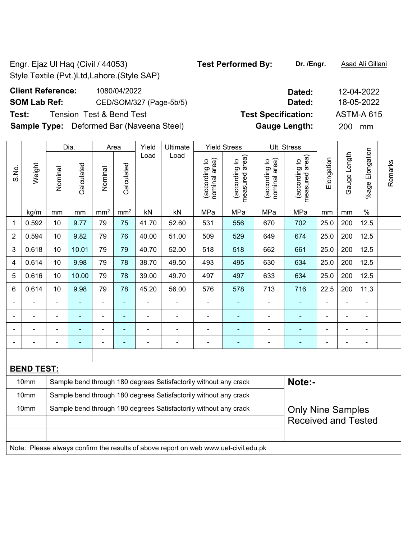## **SOM Lab Ref:** CED/SOM/327 (Page-5b/5) **Dated:** 18-05-2022 **Test:** Tension Test & Bend Test **Test Specification:** ASTM-A 615

**Sample Type:** Deformed Bar (Naveena Steel) **Gauge Length:** 200 mm

|                |                   |                          | Dia.       | Area                     |                 | Yield          | Ultimate                                                         |                                | <b>Yield Stress</b>             |                                | Ult. Stress                        |                          |                |                           |         |
|----------------|-------------------|--------------------------|------------|--------------------------|-----------------|----------------|------------------------------------------------------------------|--------------------------------|---------------------------------|--------------------------------|------------------------------------|--------------------------|----------------|---------------------------|---------|
| S.No.          | Weight            | Nominal                  | Calculated | Nominal                  | Calculated      | Load           | Load                                                             | nominal area)<br>(according to | measured area)<br>(according to | nominal area)<br>(according to | area)<br>(according to<br>measured | Elongation               | Gauge Length   | Elongation<br>$%$ age $ $ | Remarks |
|                | kg/m              | mm                       | mm         | mm <sup>2</sup>          | mm <sup>2</sup> | kN             | kN                                                               | MPa                            | MPa                             | MPa                            | MPa                                | mm                       | mm             | $\%$                      |         |
| 1              | 0.592             | 10                       | 9.77       | 79                       | 75              | 41.70          | 52.60                                                            | 531                            | 556                             | 670                            | 702                                | 25.0                     | 200            | 12.5                      |         |
| $\overline{2}$ | 0.594             | 10                       | 9.82       | 79                       | 76              | 40.00          | 51.00                                                            | 509                            | 529                             | 649                            | 674                                | 25.0                     | 200            | 12.5                      |         |
| 3              | 0.618             | 10                       | 10.01      | 79                       | 79              | 40.70          | 52.00                                                            | 518                            | 518                             | 662                            | 661                                | 25.0                     | 200            | 12.5                      |         |
| 4              | 0.614             | 10                       | 9.98       | 79                       | 78              | 38.70          | 49.50                                                            | 493                            | 495                             | 630                            | 634                                | 25.0                     | 200            | 12.5                      |         |
| 5              | 0.616             | 10                       | 10.00      | 79                       | 78              | 39.00          | 49.70                                                            | 497                            | 497                             | 633                            | 634                                | 25.0                     | 200            | 12.5                      |         |
| 6              | 0.614             | 10                       | 9.98       | 79                       | 78              | 45.20          | 56.00                                                            | 576                            | 578                             | 713                            | 716                                | 22.5                     | 200            | 11.3                      |         |
|                |                   | $\blacksquare$           | ÷,         | $\blacksquare$           | $\blacksquare$  |                | ä,                                                               | $\blacksquare$                 | $\blacksquare$                  | ä,                             | ä,                                 | ä,                       | $\blacksquare$ | ä,                        |         |
|                |                   | $\overline{\phantom{a}}$ | ÷,         | $\blacksquare$           | ٠               | $\blacksquare$ | $\blacksquare$                                                   | $\blacksquare$                 | ٠                               | L.                             | Ē,                                 | $\overline{\phantom{a}}$ | $\blacksquare$ | $\blacksquare$            |         |
|                |                   | $\blacksquare$           | ۰          | $\overline{\phantom{0}}$ | $\blacksquare$  |                | $\blacksquare$                                                   | $\blacksquare$                 | $\blacksquare$                  | Ē,                             | ٠                                  | $\blacksquare$           | $\blacksquare$ | $\blacksquare$            |         |
|                |                   |                          | ۰          | $\blacksquare$           | $\blacksquare$  | $\blacksquare$ | $\blacksquare$                                                   | ۰                              | ٠                               | ÷                              | ٠                                  | $\overline{\phantom{0}}$ | $\blacksquare$ | $\blacksquare$            |         |
|                |                   |                          |            |                          |                 |                |                                                                  |                                |                                 |                                |                                    |                          |                |                           |         |
|                | <b>BEND TEST:</b> |                          |            |                          |                 |                |                                                                  |                                |                                 |                                |                                    |                          |                |                           |         |
|                | 10mm              |                          |            |                          |                 |                | Sample bend through 180 degrees Satisfactorily without any crack |                                |                                 |                                | Note:-                             |                          |                |                           |         |
|                | 10mm              |                          |            |                          |                 |                | Sample bend through 180 degrees Satisfactorily without any crack |                                |                                 |                                |                                    |                          |                |                           |         |
|                | 10mm              |                          |            |                          |                 |                | Sample bend through 180 degrees Satisfactorily without any crack |                                |                                 |                                | <b>Only Nine Samples</b>           |                          |                |                           |         |
|                |                   |                          |            |                          |                 |                |                                                                  |                                |                                 |                                | <b>Received and Tested</b>         |                          |                |                           |         |
|                |                   |                          |            |                          |                 |                |                                                                  |                                |                                 |                                |                                    |                          |                |                           |         |

Note: Please always confirm the results of above report on web www.uet-civil.edu.pk

**Client Reference:** 1080/04/2022 **Dated:** 12-04-2022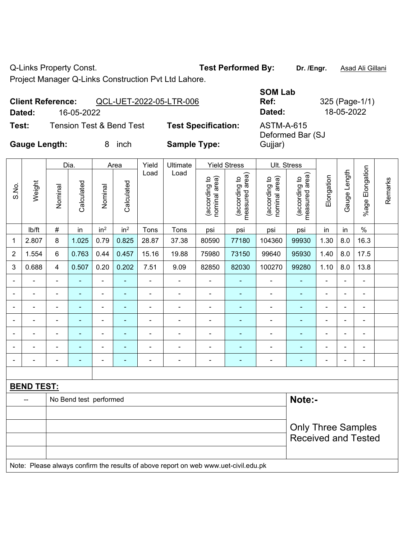Q-Links Property Const. **Test Performed By:** Dr. /Engr. **Asad Ali Gillani** Collani

Project Manager Q-Links Construction Pvt Ltd Lahore.

|                      | <b>Client Reference:</b> | QCL-UET-2022-05-LTR-006             |                            | <b>SOM Lab</b><br>Ref:                | 325 (Page-1/ |
|----------------------|--------------------------|-------------------------------------|----------------------------|---------------------------------------|--------------|
| Dated:               | 16-05-2022               |                                     |                            | Dated:                                | 18-05-2022   |
| Test:                |                          | <b>Tension Test &amp; Bend Test</b> | <b>Test Specification:</b> | <b>ASTM-A-615</b><br>Deformed Bar (SJ |              |
| <b>Gauge Length:</b> |                          | inch                                | <b>Sample Type:</b>        | Gujjar)                               |              |

|                |                   |                | Dia.                   |                 | Area                     | Yield                    | Ultimate                 |                                | <b>Yield Stress</b>               | Ult. Stress                       |                                    |                          |                              |                       |         |
|----------------|-------------------|----------------|------------------------|-----------------|--------------------------|--------------------------|--------------------------|--------------------------------|-----------------------------------|-----------------------------------|------------------------------------|--------------------------|------------------------------|-----------------------|---------|
| S.No.          | Weight            | Nominal        | Calculated             | Nominal         | Calculated               | Load                     | Load                     | nominal area)<br>(according to | area)<br>according to<br>measured | area)<br>(according to<br>nominal | area)<br>(according to<br>measured | Elongation               | Length<br>Gauge <sup>1</sup> | Elongation<br>$%$ age | Remarks |
|                | lb/ft             | $\#$           | in                     | in <sup>2</sup> | in <sup>2</sup>          | Tons                     | Tons                     | psi                            | psi                               | psi                               | psi                                | in                       | in                           | $\%$                  |         |
| 1              | 2.807             | 8              | 1.025                  | 0.79            | 0.825                    | 28.87                    | 37.38                    | 80590                          | 77180                             | 104360                            | 99930                              | 1.30                     | 8.0                          | 16.3                  |         |
| $\overline{2}$ | 1.554             | 6              | 0.763                  | 0.44            | 0.457                    | 15.16                    | 19.88                    | 75980                          | 73150                             | 99640                             | 95930                              | 1.40                     | 8.0                          | 17.5                  |         |
| 3              | 0.688             | $\overline{4}$ | 0.507                  | 0.20            | 0.202                    | 7.51                     | 9.09                     | 82850                          | 82030                             | 100270                            | 99280                              | 1.10                     | 8.0                          | 13.8                  |         |
|                |                   | $\blacksquare$ | $\blacksquare$         | $\blacksquare$  | $\blacksquare$           | $\overline{\phantom{0}}$ | $\overline{\phantom{0}}$ | $\overline{a}$                 | $\blacksquare$                    | $\overline{\phantom{0}}$          | $\blacksquare$                     | $\overline{\phantom{0}}$ | $\blacksquare$               | $\blacksquare$        |         |
| $\blacksquare$ |                   | $\blacksquare$ | $\blacksquare$         | $\blacksquare$  | $\blacksquare$           | $\overline{\phantom{0}}$ | $\blacksquare$           | $\blacksquare$                 | ٠                                 | $\blacksquare$                    | $\blacksquare$                     | ۰                        |                              | $\blacksquare$        |         |
| $\blacksquare$ |                   | $\blacksquare$ | $\blacksquare$         | $\blacksquare$  | $\blacksquare$           | $\blacksquare$           | $\blacksquare$           | $\blacksquare$                 | ٠                                 | $\blacksquare$                    | $\blacksquare$                     | ۰                        | $\overline{\phantom{0}}$     | $\blacksquare$        |         |
| $\blacksquare$ |                   | $\blacksquare$ | $\blacksquare$         | $\blacksquare$  | $\blacksquare$           | $\blacksquare$           | $\blacksquare$           | $\blacksquare$                 | $\blacksquare$                    | $\blacksquare$                    | $\blacksquare$                     | ۰                        | $\blacksquare$               | $\blacksquare$        |         |
| $\blacksquare$ |                   | $\blacksquare$ | $\blacksquare$         | $\blacksquare$  | $\overline{\phantom{a}}$ | $\overline{\phantom{0}}$ | $\blacksquare$           | $\blacksquare$                 | $\overline{\phantom{a}}$          | $\blacksquare$                    | $\blacksquare$                     | $\blacksquare$           | $\blacksquare$               | $\blacksquare$        |         |
| $\blacksquare$ |                   | $\blacksquare$ | ۰                      | $\blacksquare$  | $\blacksquare$           | $\blacksquare$           | $\overline{a}$           | $\overline{\phantom{0}}$       | $\blacksquare$                    | $\overline{\phantom{0}}$          | -                                  | $\blacksquare$           | $\blacksquare$               | $\blacksquare$        |         |
|                |                   |                |                        | -               |                          |                          | $\overline{a}$           |                                |                                   |                                   |                                    |                          |                              | $\overline{a}$        |         |
|                |                   |                |                        |                 |                          |                          |                          |                                |                                   |                                   |                                    |                          |                              |                       |         |
|                | <b>BEND TEST:</b> |                |                        |                 |                          |                          |                          |                                |                                   |                                   |                                    |                          |                              |                       |         |
|                |                   |                | No Bend test performed |                 |                          |                          |                          |                                |                                   |                                   | Note:-                             |                          |                              |                       |         |
|                |                   |                |                        |                 |                          |                          |                          |                                |                                   |                                   |                                    |                          |                              |                       |         |

| -- | <b>NO Della lest perioritied</b>                                                    | <b>NOLE:-</b>                                           |
|----|-------------------------------------------------------------------------------------|---------------------------------------------------------|
|    |                                                                                     |                                                         |
|    |                                                                                     | <b>Only Three Samples</b><br><b>Received and Tested</b> |
|    |                                                                                     |                                                         |
|    | Note: Please always confirm the results of above report on web www.uet-civil.edu.pk |                                                         |

**Ref:** 325 (Page-1/1)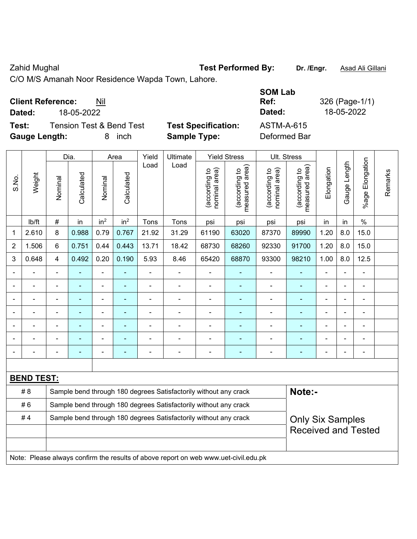Zahid Mughal **Test Performed By:** Dr. /Engr. **Asad Ali Gillani** Cahid Mughal

C/O M/S Amanah Noor Residence Wapda Town, Lahore.

| <b>Client Reference:</b> | Nil |
|--------------------------|-----|
|--------------------------|-----|

**Test:** Tension Test & Bend Test **Test Specification: Gauge Length:** 8 inch **Sample Type:** Deformed Bar

|              | <b>Client Reference:</b> | Nil                      |                            | <b>SOM Lab</b><br>Ref: | 326 (Page-1/1) |
|--------------|--------------------------|--------------------------|----------------------------|------------------------|----------------|
| Dated:       | 18-05-2022               |                          |                            | Dated:                 | 18-05-2022     |
| Test:        |                          | Tension Test & Bend Test | <b>Test Specification:</b> | ASTM-A-615             |                |
| Gauge Length |                          | 8 inch                   | Sample Type:               | Deformed Bar           |                |

|                |                          |                                                                  | Dia.           |                          | Area            | Yield          | Ultimate                                                                            |                                | <b>Yield Stress</b>             |                                | Ult. Stress                                 |                         |              |                       |         |
|----------------|--------------------------|------------------------------------------------------------------|----------------|--------------------------|-----------------|----------------|-------------------------------------------------------------------------------------|--------------------------------|---------------------------------|--------------------------------|---------------------------------------------|-------------------------|--------------|-----------------------|---------|
| S.No.          | Weight                   | Nominal                                                          | Calculated     | Nominal                  | Calculated      | Load           | Load                                                                                | nominal area)<br>(according to | measured area)<br>(according to | (according to<br>nominal area) | (according to<br>measured area)<br>measured | Elongation              | Gauge Length | Elongation<br>$%$ age | Remarks |
|                | lb/ft                    | #                                                                | in             | in <sup>2</sup>          | in <sup>2</sup> | Tons           | Tons                                                                                | psi                            | psi                             | psi                            | psi                                         | in                      | in           | $\%$                  |         |
| 1              | 2.610                    | 8                                                                | 0.988          | 0.79                     | 0.767           | 21.92          | 31.29                                                                               | 61190                          | 63020                           | 87370                          | 89990                                       | 1.20                    | 8.0          | 15.0                  |         |
| $\overline{2}$ | 1.506                    | 6                                                                | 0.751          | 0.44                     | 0.443           | 13.71          | 18.42                                                                               | 68730                          | 68260                           | 92330                          | 91700                                       | 1.20                    | 8.0          | 15.0                  |         |
| 3              | 0.648                    | $\overline{\mathbf{4}}$                                          | 0.492          | 0.20                     | 0.190           | 5.93           | 8.46                                                                                | 65420                          | 68870                           | 93300                          | 98210                                       | 1.00                    | 8.0          | 12.5                  |         |
|                |                          | ä,                                                               | $\blacksquare$ | $\blacksquare$           | ۰               | ä,             | ä,                                                                                  | $\blacksquare$                 | $\blacksquare$                  | ÷,                             | $\blacksquare$                              | L.                      |              | $\blacksquare$        |         |
|                | $\overline{\phantom{0}}$ | $\blacksquare$                                                   | $\blacksquare$ | $\overline{a}$           |                 | $\blacksquare$ | $\blacksquare$                                                                      | ä,                             | ä,                              | $\blacksquare$                 | $\blacksquare$                              | $\blacksquare$          |              | $\blacksquare$        |         |
|                |                          |                                                                  |                |                          |                 |                |                                                                                     |                                |                                 |                                |                                             |                         |              |                       |         |
|                |                          | $\blacksquare$                                                   |                |                          |                 |                |                                                                                     | Ē,                             | ä,                              | ۰                              | ä,                                          |                         |              | ÷                     |         |
| $\blacksquare$ |                          | $\blacksquare$                                                   | ÷              | $\blacksquare$           | ۰               | ä,             | $\blacksquare$                                                                      | $\blacksquare$                 | $\blacksquare$                  | $\blacksquare$                 | ٠                                           | $\blacksquare$          |              | $\blacksquare$        |         |
|                |                          | $\blacksquare$                                                   | ٠              |                          |                 |                | $\blacksquare$                                                                      | $\overline{\phantom{0}}$       |                                 | ۰                              | $\blacksquare$                              | $\blacksquare$          |              | ä,                    |         |
|                | $\blacksquare$           | $\blacksquare$                                                   | ÷              | $\overline{\phantom{0}}$ | ÷               | $\blacksquare$ | $\blacksquare$                                                                      | $\blacksquare$                 | $\blacksquare$                  | $\blacksquare$                 | ÷,                                          | $\blacksquare$          |              | ä,                    |         |
|                |                          |                                                                  |                |                          |                 |                |                                                                                     |                                |                                 |                                |                                             |                         |              |                       |         |
|                | <b>BEND TEST:</b>        |                                                                  |                |                          |                 |                |                                                                                     |                                |                                 |                                |                                             |                         |              |                       |         |
|                | # 8                      |                                                                  |                |                          |                 |                | Sample bend through 180 degrees Satisfactorily without any crack                    |                                |                                 |                                | Note:-                                      |                         |              |                       |         |
|                | #6                       |                                                                  |                |                          |                 |                | Sample bend through 180 degrees Satisfactorily without any crack                    |                                |                                 |                                |                                             |                         |              |                       |         |
|                | #4                       | Sample bend through 180 degrees Satisfactorily without any crack |                |                          |                 |                |                                                                                     |                                |                                 |                                |                                             | <b>Only Six Samples</b> |              |                       |         |
|                |                          |                                                                  |                |                          |                 |                |                                                                                     |                                |                                 |                                | <b>Received and Tested</b>                  |                         |              |                       |         |
|                |                          |                                                                  |                |                          |                 |                |                                                                                     |                                |                                 |                                |                                             |                         |              |                       |         |
|                |                          |                                                                  |                |                          |                 |                | Note: Please always confirm the results of above report on web www.uet-civil.edu.pk |                                |                                 |                                |                                             |                         |              |                       |         |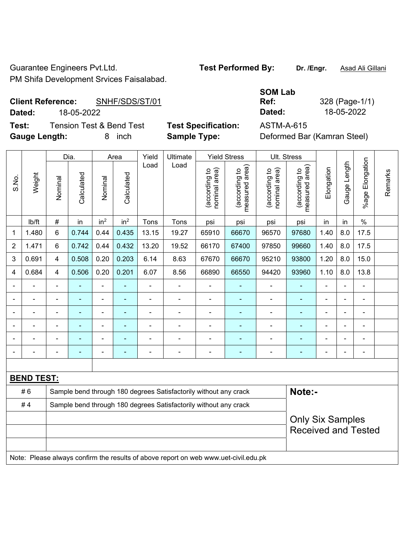Guarantee Engineers Pvt.Ltd. **Test Performed By:** Dr. /Engr. **Asad Ali Gillani** PM Shifa Development Srvices Faisalabad.

## **Client Reference:** SNHF/SDS/ST/01

|       | Dated:               |         | 18-05-2022                          |         |                    |               |                                                   |                                     |                                                                 | Dated:                                                                      |                                                  | 18-05-2022 |                |                    |  |
|-------|----------------------|---------|-------------------------------------|---------|--------------------|---------------|---------------------------------------------------|-------------------------------------|-----------------------------------------------------------------|-----------------------------------------------------------------------------|--------------------------------------------------|------------|----------------|--------------------|--|
| Test: | <b>Gauge Length:</b> |         | <b>Tension Test &amp; Bend Test</b> | 8       | inch               |               | <b>Test Specification:</b><br><b>Sample Type:</b> |                                     |                                                                 | <b>ASTM-A-615</b><br>Deformed Bar (Kamran Steel)                            |                                                  |            |                |                    |  |
| S.No. | Weight               | Nominal | Dia.<br>Calculated                  | Nominal | Area<br>Calculated | Yield<br>Load | Ultimate<br>Load                                  | area)<br>요<br>(according<br>nominal | <b>Yield Stress</b><br>rea)<br>ಇ<br>ল<br>(according<br>leasured | Ult. Stress<br>କ<br>್ರ<br>(according<br>$\overline{\sigma}$<br>᠊ᢎ<br>nomina | rea)<br>đ<br>ත<br>ω<br>(accordin<br>ᢦ<br>neasure | Elongation | ength<br>Gauge | Elongation<br>%age |  |

|             |                   |                | Dia.       |                 | Area            | Yield          | Ultimate                                                                            |                                | Yield Stress                    | UIt. Stress                    |                                 |                         |                |                 |         |
|-------------|-------------------|----------------|------------|-----------------|-----------------|----------------|-------------------------------------------------------------------------------------|--------------------------------|---------------------------------|--------------------------------|---------------------------------|-------------------------|----------------|-----------------|---------|
| S.No.       | Weight            | Nominal        | Calculated | Nominal         | Calculated      | Load           | Load                                                                                | nominal area)<br>(according to | (according to<br>measured area) | nominal area)<br>(according to | measured area)<br>(according to | Elongation              | Gauge Length   | %age Elongation | Remarks |
|             | Ib/ft             | $\#$           | in         | in <sup>2</sup> | in <sup>2</sup> | Tons           | Tons                                                                                | psi                            | psi                             | psi                            | psi                             | in                      | in             | $\%$            |         |
| $\mathbf 1$ | 1.480             | 6              | 0.744      | 0.44            | 0.435           | 13.15          | 19.27                                                                               | 65910                          | 66670                           | 96570                          | 97680                           | 1.40                    | 8.0            | 17.5            |         |
| 2           | 1.471             | 6              | 0.742      | 0.44            | 0.432           | 13.20          | 19.52                                                                               | 66170                          | 67400                           | 97850                          | 99660                           | 1.40                    | 8.0            | 17.5            |         |
| 3           | 0.691             | 4              | 0.508      | 0.20            | 0.203           | 6.14           | 8.63                                                                                | 67670                          | 66670                           | 95210                          | 93800                           | 1.20                    | 8.0            | 15.0            |         |
| 4           | 0.684             | 4              | 0.506      | 0.20            | 0.201           | 6.07           | 8.56                                                                                | 66890                          | 66550                           | 94420                          | 93960                           | 1.10                    | 8.0            | 13.8            |         |
|             |                   | $\blacksquare$ |            | ä,              | ä,              | ä,             |                                                                                     | $\blacksquare$                 | $\blacksquare$                  | $\qquad \qquad \blacksquare$   | ä,                              |                         | ä,             |                 |         |
|             |                   |                |            | $\overline{a}$  | $\overline{a}$  | $\blacksquare$ | ÷                                                                                   | $\blacksquare$                 | $\blacksquare$                  | $\blacksquare$                 | ä,                              |                         | $\overline{a}$ |                 |         |
|             |                   | $\blacksquare$ |            | $\blacksquare$  | ۰               |                |                                                                                     |                                |                                 |                                |                                 |                         | $\blacksquare$ |                 |         |
|             |                   | ä,             |            | ÷               | ÷               | ٠              | $\blacksquare$                                                                      |                                | ٠                               | -                              | $\blacksquare$                  | $\blacksquare$          | ÷,             | ÷               |         |
|             |                   | ä,             |            | $\blacksquare$  | $\blacksquare$  | Ē,             | ÷                                                                                   | $\blacksquare$                 | ٠                               | ÷                              | $\blacksquare$                  | $\blacksquare$          | $\blacksquare$ |                 |         |
|             |                   | L,             |            | $\blacksquare$  | ÷               | Ē,             | ÷                                                                                   | $\blacksquare$                 | ÷                               | ÷                              | $\blacksquare$                  |                         | $\blacksquare$ |                 |         |
|             |                   |                |            |                 |                 |                |                                                                                     |                                |                                 |                                |                                 |                         |                |                 |         |
|             | <b>BEND TEST:</b> |                |            |                 |                 |                |                                                                                     |                                |                                 |                                |                                 |                         |                |                 |         |
|             | #6                |                |            |                 |                 |                | Sample bend through 180 degrees Satisfactorily without any crack                    |                                |                                 |                                | Note:-                          |                         |                |                 |         |
|             | #4                |                |            |                 |                 |                | Sample bend through 180 degrees Satisfactorily without any crack                    |                                |                                 |                                |                                 |                         |                |                 |         |
|             |                   |                |            |                 |                 |                |                                                                                     |                                |                                 |                                |                                 | <b>Only Six Samples</b> |                |                 |         |
|             |                   |                |            |                 |                 |                |                                                                                     |                                |                                 |                                | <b>Received and Tested</b>      |                         |                |                 |         |
|             |                   |                |            |                 |                 |                |                                                                                     |                                |                                 |                                |                                 |                         |                |                 |         |
|             |                   |                |            |                 |                 |                | Note: Please always confirm the results of above report on web www.uet-civil.edu.pk |                                |                                 |                                |                                 |                         |                |                 |         |

**SOM Lab Ref:** 328 (Page-1/1)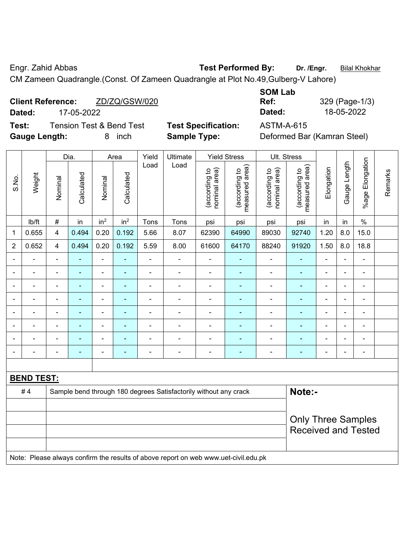Engr. Zahid Abbas **Test Performed By:** Dr. /Engr. **Bilal Khokhar** 

CM Zameen Quadrangle.(Const. Of Zameen Quadrangle at Plot No.49,Gulberg-V Lahore)

| <b>Client Reference:</b>                                                                                                                                                                                                      |            | ZD/ZQ/GSW/020 |  | Ref:         | 329 (Page-1/ |
|-------------------------------------------------------------------------------------------------------------------------------------------------------------------------------------------------------------------------------|------------|---------------|--|--------------|--------------|
| Dated:                                                                                                                                                                                                                        | 17-05-2022 |               |  | Dated:       | 18-05-2022   |
| the company of the company of the company of the company of the company of the company of the company of the company of the company of the company of the company of the company of the company of the company of the company |            |               |  | . <i>. .</i> |              |

**Test:** Tension Test & Bend Test **Test Specification:** ASTM-A-615 **Gauge Length:** 8 inch **Sample Type:** Deformed Bar (Kamran Steel)

| <b>SOM Lab</b> |                |
|----------------|----------------|
| Ref:           | 329 (Page-1/3) |
| Dated:         | 18-05-2022     |

|                          |                          | Dia.                                                                                |                          |                 | Yield<br>Area   |                          | Ultimate                                                         |                                | <b>Yield Stress</b>             |                                | Ult. Stress                     |                |                          |                           |         |
|--------------------------|--------------------------|-------------------------------------------------------------------------------------|--------------------------|-----------------|-----------------|--------------------------|------------------------------------------------------------------|--------------------------------|---------------------------------|--------------------------------|---------------------------------|----------------|--------------------------|---------------------------|---------|
| S.No.                    | Weight                   | Nominal                                                                             | Calculated               | Nominal         | Calculated      | Load                     | Load                                                             | nominal area)<br>(according to | (according to<br>measured area) | (according to<br>nominal area) | (according to<br>measured area) | Elongation     | Gauge Length             | Elongation<br>$%$ age $ $ | Remarks |
|                          | lb/ft                    | $\#$                                                                                | in                       | in <sup>2</sup> | in <sup>2</sup> | Tons                     | Tons                                                             | psi                            | psi                             | psi                            | psi                             | in             | in                       | $\%$                      |         |
| 1                        | 0.655                    | 4                                                                                   | 0.494                    | 0.20            | 0.192           | 5.66                     | 8.07                                                             | 62390                          | 64990                           | 89030                          | 92740                           | 1.20           | 8.0                      | 15.0                      |         |
| $\overline{2}$           | 0.652                    | 4                                                                                   | 0.494                    | 0.20            | 0.192           | 5.59                     | 8.00                                                             | 61600                          | 64170                           | 88240                          | 91920                           | 1.50           | 8.0                      | 18.8                      |         |
| $\overline{a}$           | $\blacksquare$           | $\blacksquare$                                                                      | ÷                        | ä,              |                 | ä,                       | ä,                                                               | $\blacksquare$                 | $\blacksquare$                  | $\blacksquare$                 | $\blacksquare$                  | ä,             | ä,                       | ä,                        |         |
| Ē,                       | $\blacksquare$           | $\blacksquare$                                                                      | $\blacksquare$           | ä,              |                 | $\blacksquare$           | $\blacksquare$                                                   | $\blacksquare$                 | $\blacksquare$                  | $\blacksquare$                 | $\blacksquare$                  | $\blacksquare$ | $\overline{\phantom{0}}$ | $\blacksquare$            |         |
| Ē,                       | $\overline{\phantom{a}}$ | $\blacksquare$                                                                      | $\blacksquare$           | ÷               | $\blacksquare$  | $\blacksquare$           | ÷                                                                | $\overline{\phantom{a}}$       | $\blacksquare$                  | $\blacksquare$                 | $\blacksquare$                  | $\blacksquare$ | ÷                        | $\blacksquare$            |         |
|                          | $\blacksquare$           | $\blacksquare$                                                                      | $\blacksquare$           | ä,              |                 | $\blacksquare$           | ä,                                                               | ä,                             | $\blacksquare$                  | $\blacksquare$                 | $\blacksquare$                  | $\blacksquare$ | $\overline{\phantom{0}}$ | $\blacksquare$            |         |
| ٠                        | $\blacksquare$           | $\overline{\phantom{0}}$                                                            | ÷                        | ÷               | $\blacksquare$  | $\blacksquare$           | ÷                                                                | $\blacksquare$                 | $\blacksquare$                  | $\blacksquare$                 | $\blacksquare$                  | $\blacksquare$ | $\overline{\phantom{0}}$ | ä,                        |         |
|                          | L.                       |                                                                                     | ۰                        | $\blacksquare$  |                 |                          | $\overline{a}$                                                   | ÷                              | $\blacksquare$                  | $\blacksquare$                 |                                 |                |                          | $\blacksquare$            |         |
|                          |                          |                                                                                     |                          |                 |                 |                          | $\blacksquare$                                                   | ä,                             |                                 |                                |                                 |                |                          |                           |         |
| $\overline{\phantom{a}}$ | $\blacksquare$           | -                                                                                   | $\overline{\phantom{0}}$ | $\overline{a}$  |                 | $\overline{\phantom{0}}$ | $\blacksquare$                                                   | $\blacksquare$                 | $\overline{\phantom{0}}$        | $\overline{\phantom{0}}$       | -                               | $\overline{a}$ | $\overline{\phantom{0}}$ | $\overline{\phantom{a}}$  |         |
|                          |                          |                                                                                     |                          |                 |                 |                          |                                                                  |                                |                                 |                                |                                 |                |                          |                           |         |
|                          | <b>BEND TEST:</b>        |                                                                                     |                          |                 |                 |                          |                                                                  |                                |                                 |                                |                                 |                |                          |                           |         |
|                          | #4                       |                                                                                     |                          |                 |                 |                          | Sample bend through 180 degrees Satisfactorily without any crack |                                |                                 |                                | Note:-                          |                |                          |                           |         |
|                          |                          |                                                                                     |                          |                 |                 |                          |                                                                  |                                |                                 |                                |                                 |                |                          |                           |         |
|                          |                          | <b>Only Three Samples</b>                                                           |                          |                 |                 |                          |                                                                  |                                |                                 |                                |                                 |                |                          |                           |         |
|                          |                          |                                                                                     |                          |                 |                 |                          |                                                                  |                                |                                 |                                | <b>Received and Tested</b>      |                |                          |                           |         |
|                          |                          | Note: Please always confirm the results of above report on web www.uet-civil.edu.pk |                          |                 |                 |                          |                                                                  |                                |                                 |                                |                                 |                |                          |                           |         |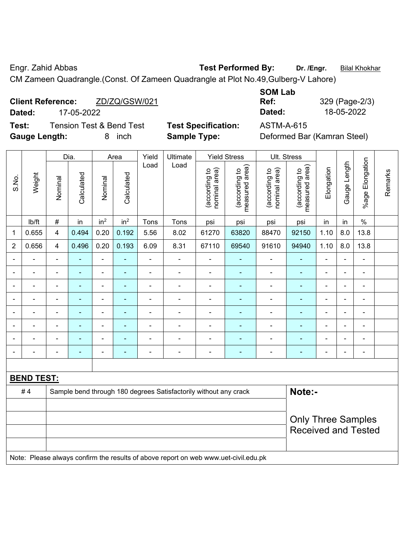Engr. Zahid Abbas **Test Performed By:** Dr. /Engr. **Bilal Khokhar** 

CM Zameen Quadrangle.(Const. Of Zameen Quadrangle at Plot No.49,Gulberg-V Lahore)

| <b>Client Reference:</b> | ZD/ZQ/GSW/021 | Ref:   | 329 (Page-2/ |  |  |
|--------------------------|---------------|--------|--------------|--|--|
| Dated:                   | 17-05-2022    | Dated: | 18-05-2022   |  |  |
|                          |               |        |              |  |  |

**Test:** Tension Test & Bend Test **Test Specification:** ASTM-A-615 **Gauge Length:** 8 inch **Sample Type:** Deformed Bar (Kamran Steel)

| <b>SOM Lab</b> |                |
|----------------|----------------|
| Ref:           | 329 (Page-2/3) |
| Dated:         | 18-05-2022     |

|                |                   |                           | Dia.           |                              | Area            | Yield          | Ultimate                                                                            |                                | <b>Yield Stress</b>             |                                | Ult. Stress                     |                |                |                 |         |
|----------------|-------------------|---------------------------|----------------|------------------------------|-----------------|----------------|-------------------------------------------------------------------------------------|--------------------------------|---------------------------------|--------------------------------|---------------------------------|----------------|----------------|-----------------|---------|
| S.No.          | Weight            | Nominal                   | Calculated     | Nominal                      | Calculated      | Load           | Load                                                                                | nominal area)<br>(according to | (according to<br>measured area) | nominal area)<br>(according to | (according to<br>measured area) | Elongation     | Gauge Length   | %age Elongation | Remarks |
|                | Ib/ft             | $\#$                      | in             | in <sup>2</sup>              | in <sup>2</sup> | Tons           | Tons                                                                                | psi                            | psi                             | psi                            | psi                             | in             | in             | $\%$            |         |
| 1              | 0.655             | $\overline{\mathbf{4}}$   | 0.494          | 0.20                         | 0.192           | 5.56           | 8.02                                                                                | 61270                          | 63820                           | 88470                          | 92150                           | 1.10           | 8.0            | 13.8            |         |
| $\overline{2}$ | 0.656             | $\overline{\mathbf{4}}$   | 0.496          | 0.20                         | 0.193           | 6.09           | 8.31                                                                                | 67110                          | 69540                           | 91610                          | 94940                           | 1.10           | $8.0\,$        | 13.8            |         |
|                |                   |                           |                | $\blacksquare$               |                 |                | $\blacksquare$                                                                      |                                |                                 |                                |                                 |                |                |                 |         |
|                | $\blacksquare$    |                           | $\blacksquare$ | ÷                            |                 | $\blacksquare$ | $\blacksquare$                                                                      | $\blacksquare$                 | ÷                               | $\overline{a}$                 | ۰                               | $\blacksquare$ |                | $\blacksquare$  |         |
|                |                   |                           | $\blacksquare$ | $\qquad \qquad \blacksquare$ |                 | $\blacksquare$ | $\blacksquare$                                                                      | $\blacksquare$                 | ÷                               | $\blacksquare$                 | ۰                               | $\blacksquare$ | $\blacksquare$ | ÷               |         |
|                |                   |                           | $\blacksquare$ | ۰                            |                 | $\blacksquare$ | $\blacksquare$                                                                      | $\blacksquare$                 |                                 | ÷                              | ۰                               | $\blacksquare$ | $\blacksquare$ | $\blacksquare$  |         |
| $\blacksquare$ | ä,                | $\blacksquare$            | $\blacksquare$ | $\blacksquare$               | ۰               | ä,             | $\blacksquare$                                                                      | ä,                             | ۰                               | ÷,                             | $\blacksquare$                  | ä,             | $\blacksquare$ | $\blacksquare$  |         |
|                |                   |                           | $\blacksquare$ | ۰                            |                 |                |                                                                                     |                                |                                 |                                | $\blacksquare$                  |                |                | ÷               |         |
|                |                   |                           |                | ۰                            |                 |                |                                                                                     | $\blacksquare$                 |                                 | $\blacksquare$                 | ۰                               |                |                |                 |         |
|                |                   |                           |                | ÷                            |                 |                | $\blacksquare$                                                                      | $\blacksquare$                 | ÷                               | -                              | $\blacksquare$                  | $\blacksquare$ |                | ÷               |         |
|                |                   |                           |                |                              |                 |                |                                                                                     |                                |                                 |                                |                                 |                |                |                 |         |
|                | <b>BEND TEST:</b> |                           |                |                              |                 |                |                                                                                     |                                |                                 |                                |                                 |                |                |                 |         |
|                | #4                |                           |                |                              |                 |                | Sample bend through 180 degrees Satisfactorily without any crack                    |                                |                                 |                                | Note:-                          |                |                |                 |         |
|                |                   |                           |                |                              |                 |                |                                                                                     |                                |                                 |                                |                                 |                |                |                 |         |
|                |                   | <b>Only Three Samples</b> |                |                              |                 |                |                                                                                     |                                |                                 |                                |                                 |                |                |                 |         |
|                |                   |                           |                |                              |                 |                |                                                                                     |                                |                                 |                                | <b>Received and Tested</b>      |                |                |                 |         |
|                |                   |                           |                |                              |                 |                |                                                                                     |                                |                                 |                                |                                 |                |                |                 |         |
|                |                   |                           |                |                              |                 |                | Note: Please always confirm the results of above report on web www.uet-civil.edu.pk |                                |                                 |                                |                                 |                |                |                 |         |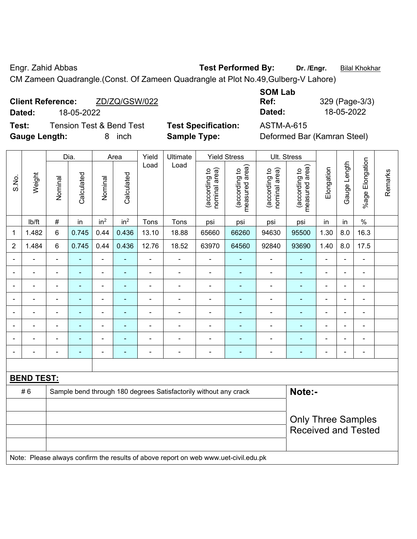Engr. Zahid Abbas **Test Performed By: Dr. /Engr.** Bilal Khokhar

CM Zameen Quadrangle.(Const. Of Zameen Quadrangle at Plot No.49,Gulberg-V Lahore)

| <b>Client Reference:</b> | ZD/ZQ/GSW/022 | Ref:   | 329 (Page-3/ |
|--------------------------|---------------|--------|--------------|
| Dated:                   | 18-05-2022    | Dated: | 18-05-2022   |

**Test:** Tension Test & Bend Test **Test Specification:** ASTM-A-615 **Gauge Length:** 8 inch **Sample Type:** Deformed Bar (Kamran Steel)

| <b>SOM Lab</b> |                |
|----------------|----------------|
| Ref:           | 329 (Page-3/3) |
| Dated:         | 18-05-2022     |

|                |                   |                          | Dia.           |                          | Area            | Yield                    | Ultimate                                                                            |                                | <b>Yield Stress</b>             |                                | Ult. Stress                     |                |              |                           |         |
|----------------|-------------------|--------------------------|----------------|--------------------------|-----------------|--------------------------|-------------------------------------------------------------------------------------|--------------------------------|---------------------------------|--------------------------------|---------------------------------|----------------|--------------|---------------------------|---------|
| S.No.          | Weight            | Nominal                  | Calculated     | Nominal                  | Calculated      | Load                     | Load                                                                                | nominal area)<br>(according to | (according to<br>measured area) | nominal area)<br>(according to | (according to<br>measured area) | Elongation     | Gauge Length | Elongation<br>$%$ age I   | Remarks |
|                | lb/ft             | $\#$                     | in             | in <sup>2</sup>          | in <sup>2</sup> | Tons                     | Tons                                                                                | psi                            | psi                             | psi                            | psi                             | in             | in           | $\%$                      |         |
| 1              | 1.482             | 6                        | 0.745          | 0.44                     | 0.436           | 13.10                    | 18.88                                                                               | 65660                          | 66260                           | 94630                          | 95500                           | 1.30           | 8.0          | 16.3                      |         |
| $\overline{2}$ | 1.484             | 6                        | 0.745          | 0.44                     | 0.436           | 12.76                    | 18.52                                                                               | 63970                          | 64560                           | 92840                          | 93690                           | 1.40           | 8.0          | 17.5                      |         |
| $\blacksquare$ | ä,                | $\blacksquare$           | $\blacksquare$ | ÷                        | $\blacksquare$  | $\overline{\phantom{a}}$ | $\blacksquare$                                                                      | $\blacksquare$                 | $\blacksquare$                  | $\blacksquare$                 | $\blacksquare$                  | $\blacksquare$ | ä,           | $\blacksquare$            |         |
|                | ä,                | $\overline{\phantom{a}}$ | $\blacksquare$ | $\blacksquare$           | $\blacksquare$  | $\overline{\phantom{a}}$ | $\blacksquare$                                                                      |                                | $\blacksquare$                  | $\blacksquare$                 | $\blacksquare$                  | $\blacksquare$ | ä,           | $\blacksquare$            |         |
|                | ä,                | $\blacksquare$           | ÷,             | ÷                        | $\blacksquare$  | $\blacksquare$           | $\overline{\phantom{0}}$                                                            | ä,                             | ٠                               | ÷                              | $\blacksquare$                  | $\blacksquare$ | i.           | $\blacksquare$            |         |
|                | $\blacksquare$    | $\blacksquare$           | $\blacksquare$ | $\blacksquare$           | ۰               | $\blacksquare$           | $\blacksquare$                                                                      | ä,                             | ٠                               | $\blacksquare$                 | $\blacksquare$                  | $\blacksquare$ |              | ä,                        |         |
|                |                   |                          |                | $\blacksquare$           |                 | $\blacksquare$           | $\blacksquare$                                                                      | $\blacksquare$                 | $\overline{\phantom{0}}$        | $\overline{\phantom{0}}$       | $\blacksquare$                  | $\blacksquare$ |              | $\blacksquare$            |         |
|                | $\blacksquare$    |                          |                | $\overline{\phantom{0}}$ |                 |                          | $\blacksquare$                                                                      | $\blacksquare$                 |                                 | $\overline{\phantom{0}}$       |                                 |                |              | L,                        |         |
| $\blacksquare$ | $\blacksquare$    | $\overline{\phantom{0}}$ |                | $\overline{\phantom{0}}$ | ۰               |                          | $\blacksquare$                                                                      |                                | $\overline{\phantom{0}}$        | $\overline{\phantom{0}}$       | $\blacksquare$                  | $\blacksquare$ |              |                           |         |
| $\blacksquare$ | $\blacksquare$    | $\blacksquare$           | $\blacksquare$ | ä,                       | $\blacksquare$  | $\overline{a}$           | $\blacksquare$                                                                      | $\blacksquare$                 | ٠                               | ÷                              | $\blacksquare$                  | $\blacksquare$ | ÷,           | $\blacksquare$            |         |
|                |                   |                          |                |                          |                 |                          |                                                                                     |                                |                                 |                                |                                 |                |              |                           |         |
|                | <b>BEND TEST:</b> |                          |                |                          |                 |                          |                                                                                     |                                |                                 |                                |                                 |                |              |                           |         |
|                | #6                |                          |                |                          |                 |                          | Sample bend through 180 degrees Satisfactorily without any crack                    |                                |                                 |                                | Note:-                          |                |              |                           |         |
|                |                   |                          |                |                          |                 |                          |                                                                                     |                                |                                 |                                |                                 |                |              |                           |         |
|                |                   |                          |                |                          |                 |                          |                                                                                     |                                |                                 |                                |                                 |                |              | <b>Only Three Samples</b> |         |
|                |                   |                          |                |                          |                 |                          |                                                                                     |                                |                                 |                                | <b>Received and Tested</b>      |                |              |                           |         |
|                |                   |                          |                |                          |                 |                          | Note: Please always confirm the results of above report on web www.uet-civil.edu.pk |                                |                                 |                                |                                 |                |              |                           |         |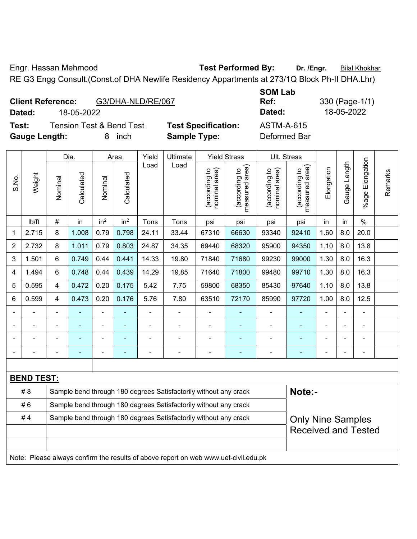Engr. Hassan Mehmood **Test Performed By:** Dr. /Engr. **Bilal Khokhar** 

RE G3 Engg Consult.(Const.of DHA Newlife Residency Appartments at 273/1Q Block Ph-II DHA.Lhr)

|        | <b>Client Reference:</b><br>G3/DHA-NLD/RE/067 |                            | UVIII LUM<br>Ref: |
|--------|-----------------------------------------------|----------------------------|-------------------|
| Dated: | 18-05-2022                                    |                            | Dated:            |
| Test:  | <b>Tension Test &amp; Bend Test</b>           | <b>Test Specification:</b> | ASTM-A-615        |

**Gauge Length:** 8 inch **Sample Type:** Deformed Bar

**SOM Lab Ref:** 330 (Page-1/1) **Dated:** 18-05-2022 **Dated:** 18-05-2022

| Weight<br>S.No. | Dia.                                                                                |                                                                  | Area           |                 | Yield                    | Ultimate       | <b>Yield Stress</b>                                              |                                 | Ult. Stress                    |                                             |                                                        |                          |                       |                          |  |
|-----------------|-------------------------------------------------------------------------------------|------------------------------------------------------------------|----------------|-----------------|--------------------------|----------------|------------------------------------------------------------------|---------------------------------|--------------------------------|---------------------------------------------|--------------------------------------------------------|--------------------------|-----------------------|--------------------------|--|
|                 | Nominal                                                                             | Calculated                                                       | Nominal        | Calculated      | Load                     | Load           | nominal area)<br>(according to                                   | (according to<br>measured area) | nominal area)<br>(according to | (according to<br>measured area)<br>measured | Elongation                                             | Gauge Length             | Elongation<br>$%$ age | Remarks                  |  |
|                 | lb/ft                                                                               | $\#$                                                             | in             | in <sup>2</sup> | in <sup>2</sup>          | Tons           | Tons                                                             | psi                             | psi                            | psi                                         | psi                                                    | in                       | in                    | $\%$                     |  |
| 1               | 2.715                                                                               | 8                                                                | 1.008          | 0.79            | 0.798                    | 24.11          | 33.44                                                            | 67310                           | 66630                          | 93340                                       | 92410                                                  | 1.60                     | 8.0                   | 20.0                     |  |
| 2               | 2.732                                                                               | 8                                                                | 1.011          | 0.79            | 0.803                    | 24.87          | 34.35                                                            | 69440                           | 68320                          | 95900                                       | 94350                                                  | 1.10                     | 8.0                   | 13.8                     |  |
| 3               | 1.501                                                                               | 6                                                                | 0.749          | 0.44            | 0.441                    | 14.33          | 19.80                                                            | 71840                           | 71680                          | 99230                                       | 99000                                                  | 1.30                     | 8.0                   | 16.3                     |  |
| 4               | 1.494                                                                               | 6                                                                | 0.748          | 0.44            | 0.439                    | 14.29          | 19.85                                                            | 71640                           | 71800                          | 99480                                       | 99710                                                  | 1.30                     | 8.0                   | 16.3                     |  |
| 5               | 0.595                                                                               | $\overline{\mathbf{4}}$                                          | 0.472          | 0.20            | 0.175                    | 5.42           | 7.75                                                             | 59800                           | 68350                          | 85430                                       | 97640                                                  | 1.10                     | 8.0                   | 13.8                     |  |
| 6               | 0.599                                                                               | $\overline{4}$                                                   | 0.473          | 0.20            | 0.176                    | 5.76           | 7.80                                                             | 63510                           | 72170                          | 85990                                       | 97720                                                  | 1.00                     | 8.0                   | 12.5                     |  |
|                 |                                                                                     |                                                                  |                |                 |                          | $\blacksquare$ | $\blacksquare$                                                   | $\overline{a}$                  |                                |                                             |                                                        | $\blacksquare$           |                       |                          |  |
|                 |                                                                                     |                                                                  | ÷              | $\blacksquare$  |                          | ä,             | $\blacksquare$                                                   | $\blacksquare$                  |                                | $\overline{\phantom{a}}$                    | $\blacksquare$                                         | $\blacksquare$           |                       | $\blacksquare$           |  |
|                 |                                                                                     |                                                                  |                | ÷               |                          | ä,             | $\overline{a}$                                                   | ä,                              |                                |                                             |                                                        | -                        |                       | $\overline{\phantom{a}}$ |  |
|                 |                                                                                     | ٠                                                                | $\blacksquare$ | ÷               | $\overline{\phantom{a}}$ | -              | $\overline{\phantom{0}}$                                         |                                 | ۰                              | $\overline{\phantom{0}}$                    | $\blacksquare$                                         | $\overline{\phantom{0}}$ |                       | $\overline{\phantom{a}}$ |  |
|                 |                                                                                     |                                                                  |                |                 |                          |                |                                                                  |                                 |                                |                                             |                                                        |                          |                       |                          |  |
|                 | <b>BEND TEST:</b>                                                                   |                                                                  |                |                 |                          |                |                                                                  |                                 |                                |                                             |                                                        |                          |                       |                          |  |
|                 | # 8                                                                                 |                                                                  |                |                 |                          |                | Sample bend through 180 degrees Satisfactorily without any crack |                                 |                                |                                             | Note:-                                                 |                          |                       |                          |  |
|                 | #6                                                                                  |                                                                  |                |                 |                          |                | Sample bend through 180 degrees Satisfactorily without any crack |                                 |                                |                                             |                                                        |                          |                       |                          |  |
|                 | #4                                                                                  | Sample bend through 180 degrees Satisfactorily without any crack |                |                 |                          |                |                                                                  |                                 |                                |                                             | <b>Only Nine Samples</b><br><b>Received and Tested</b> |                          |                       |                          |  |
|                 |                                                                                     |                                                                  |                |                 |                          |                |                                                                  |                                 |                                |                                             |                                                        |                          |                       |                          |  |
|                 |                                                                                     |                                                                  |                |                 |                          |                |                                                                  |                                 |                                |                                             |                                                        |                          |                       |                          |  |
|                 | Note: Please always confirm the results of above report on web www.uet-civil.edu.pk |                                                                  |                |                 |                          |                |                                                                  |                                 |                                |                                             |                                                        |                          |                       |                          |  |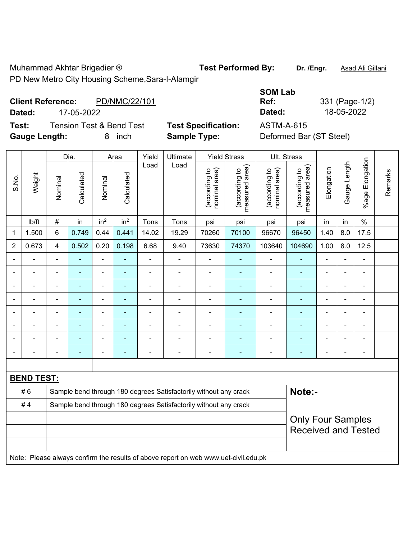Muhammad Akhtar Brigadier ® **Test Performed By: Dr. /Engr.** Asad Ali Gillani PD New Metro City Housing Scheme,Sara-I-Alamgir

## **Client Reference:** PD/NMC/22/101 **Dated:** 17-05-2022 **Dated:** 18-05-2022

**Test:** Tension Test & Bend Test **Test Specification:** ASTM-A-615 **Gauge Length:** 8 inch **Sample Type:** Deformed Bar (ST Steel)

| <b>SOM Lab</b> |                |
|----------------|----------------|
| Ref:           | 331 (Page-1/2) |
| Dated:         | 18-05-2022     |
| ASTM-A-615     |                |

**Some** 

|                |                   | Dia.                                                             |                | Area            |                 | Yield          | Ultimate                                                                            | <b>Yield Stress</b>            |                                 |                                | Ult. Stress                                 |                |                |                      |         |
|----------------|-------------------|------------------------------------------------------------------|----------------|-----------------|-----------------|----------------|-------------------------------------------------------------------------------------|--------------------------------|---------------------------------|--------------------------------|---------------------------------------------|----------------|----------------|----------------------|---------|
| S.No.          | Weight            | Nominal                                                          | Calculated     | Nominal         | Calculated      | Load           | Load                                                                                | nominal area)<br>(according to | (according to<br>measured area) | (according to<br>nominal area) | (according to<br>neasured area)<br>measured | Elongation     | Gauge Length   | Elongation<br>$%age$ | Remarks |
|                | lb/ft             | #                                                                | in             | in <sup>2</sup> | in <sup>2</sup> | Tons           | Tons                                                                                | psi                            | psi                             | psi                            | psi                                         | in             | in             | $\%$                 |         |
| 1              | 1.500             | $6\phantom{1}$                                                   | 0.749          | 0.44            | 0.441           | 14.02          | 19.29                                                                               | 70260                          | 70100                           | 96670                          | 96450                                       | 1.40           | 8.0            | 17.5                 |         |
| $\overline{2}$ | 0.673             | $\overline{4}$                                                   | 0.502          | 0.20            | 0.198           | 6.68           | 9.40                                                                                | 73630                          | 74370                           | 103640                         | 104690                                      | 1.00           | 8.0            | 12.5                 |         |
|                |                   |                                                                  |                | ä,              |                 |                | $\blacksquare$                                                                      |                                |                                 |                                |                                             |                |                | $\blacksquare$       |         |
|                |                   |                                                                  | $\blacksquare$ | $\blacksquare$  |                 |                | $\blacksquare$                                                                      | $\blacksquare$                 |                                 | $\blacksquare$                 | $\blacksquare$                              |                |                |                      |         |
|                | $\blacksquare$    | $\blacksquare$                                                   | ۰              | ÷               |                 | $\blacksquare$ | $\blacksquare$                                                                      |                                | ۰                               | $\overline{\phantom{0}}$       | $\blacksquare$                              | $\blacksquare$ | $\blacksquare$ | $\blacksquare$       |         |
|                |                   | ä,                                                               | ٠              | ÷,              |                 | $\blacksquare$ | $\blacksquare$                                                                      | ä,                             | ۰                               | $\blacksquare$                 | $\blacksquare$                              | ä,             |                | $\blacksquare$       |         |
|                | $\blacksquare$    | $\blacksquare$                                                   | ٠              | ÷,              |                 | $\blacksquare$ | $\blacksquare$                                                                      | $\blacksquare$                 | ۰                               | $\blacksquare$                 | $\blacksquare$                              | ä,             |                | $\blacksquare$       |         |
|                |                   |                                                                  | ÷,             | ä,              |                 |                | $\blacksquare$                                                                      | ä,                             |                                 |                                |                                             |                |                | $\blacksquare$       |         |
|                |                   |                                                                  |                | ۰               |                 |                | $\blacksquare$                                                                      | $\blacksquare$                 |                                 |                                |                                             |                |                |                      |         |
| $\blacksquare$ | L,                | $\blacksquare$                                                   | $\blacksquare$ | ÷               |                 | $\blacksquare$ | $\blacksquare$                                                                      |                                | ÷                               | $\blacksquare$                 | $\blacksquare$                              | Ē,             | $\blacksquare$ | $\blacksquare$       |         |
|                |                   |                                                                  |                |                 |                 |                |                                                                                     |                                |                                 |                                |                                             |                |                |                      |         |
|                | <b>BEND TEST:</b> |                                                                  |                |                 |                 |                |                                                                                     |                                |                                 |                                |                                             |                |                |                      |         |
|                | #6                |                                                                  |                |                 |                 |                | Sample bend through 180 degrees Satisfactorily without any crack                    |                                |                                 |                                | Note:-                                      |                |                |                      |         |
|                | #4                | Sample bend through 180 degrees Satisfactorily without any crack |                |                 |                 |                |                                                                                     |                                |                                 |                                |                                             |                |                |                      |         |
|                |                   | <b>Only Four Samples</b>                                         |                |                 |                 |                |                                                                                     |                                |                                 |                                |                                             |                |                |                      |         |
|                |                   | <b>Received and Tested</b>                                       |                |                 |                 |                |                                                                                     |                                |                                 |                                |                                             |                |                |                      |         |
|                |                   |                                                                  |                |                 |                 |                |                                                                                     |                                |                                 |                                |                                             |                |                |                      |         |
|                |                   |                                                                  |                |                 |                 |                | Note: Please always confirm the results of above report on web www.uet-civil.edu.pk |                                |                                 |                                |                                             |                |                |                      |         |